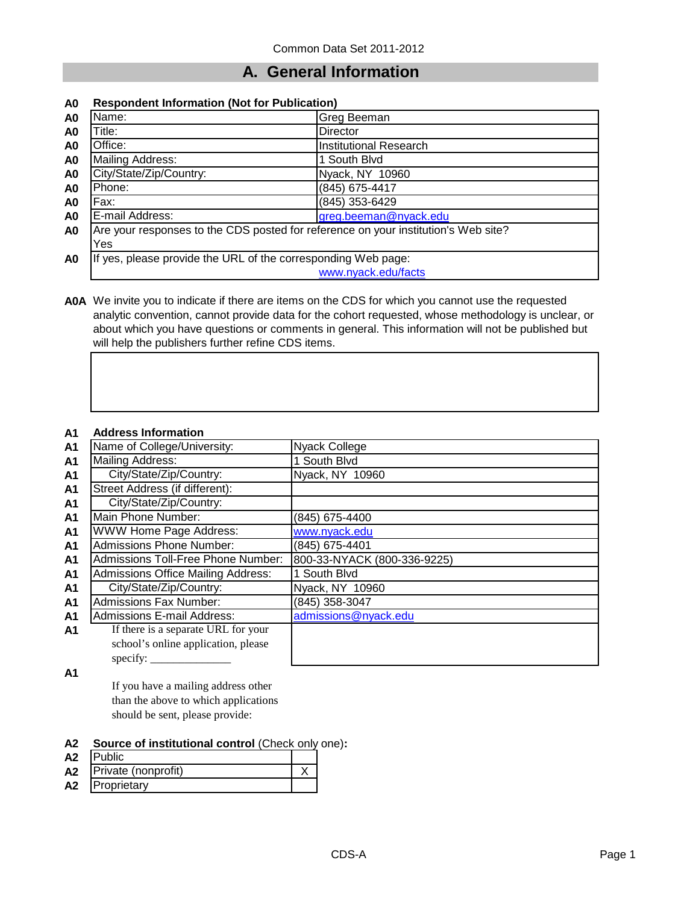## **A. General Information**

#### **A0 Respondent Information (Not for Publication)**

| A <sub>0</sub> | Name:                                                                              | Greg Beeman                   |  |
|----------------|------------------------------------------------------------------------------------|-------------------------------|--|
| A <sub>0</sub> | Γitle:∶                                                                            | <b>Director</b>               |  |
| A <sub>0</sub> | Office:                                                                            | <b>Institutional Research</b> |  |
| A <sub>0</sub> | Mailing Address:                                                                   | 1 South Blvd                  |  |
| A <sub>0</sub> | City/State/Zip/Country:                                                            | Nyack, NY 10960               |  |
| A <sub>0</sub> | Phone:                                                                             | (845) 675-4417                |  |
| A <sub>0</sub> | Fax:                                                                               | (845) 353-6429                |  |
| A <sub>0</sub> | E-mail Address:                                                                    | greg.beeman@nyack.edu         |  |
| A <sub>0</sub> | Are your responses to the CDS posted for reference on your institution's Web site? |                               |  |
|                | Yes                                                                                |                               |  |
| A <sub>0</sub> | If yes, please provide the URL of the corresponding Web page:                      |                               |  |
|                |                                                                                    | www.nyack.edu/facts           |  |

**A0A** We invite you to indicate if there are items on the CDS for which you cannot use the requested analytic convention, cannot provide data for the cohort requested, whose methodology is unclear, or about which you have questions or comments in general. This information will not be published but will help the publishers further refine CDS items.

#### **A1 Address Information**

| ЛI             |                                           |                             |
|----------------|-------------------------------------------|-----------------------------|
| <b>A1</b>      | Name of College/University:               | Nyack College               |
| A <sub>1</sub> | <b>Mailing Address:</b>                   | 1 South Blvd                |
| A <sub>1</sub> | City/State/Zip/Country:                   | Nyack, NY 10960             |
| A <sub>1</sub> | Street Address (if different):            |                             |
| A1             | City/State/Zip/Country:                   |                             |
| A1             | Main Phone Number:                        | (845) 675-4400              |
| A <sub>1</sub> | <b>WWW Home Page Address:</b>             | www.nyack.edu               |
| A <sub>1</sub> | Admissions Phone Number:                  | (845) 675-4401              |
| A <sub>1</sub> | Admissions Toll-Free Phone Number:        | 800-33-NYACK (800-336-9225) |
| A1             | <b>Admissions Office Mailing Address:</b> | 1 South Blvd                |
| A1             | City/State/Zip/Country:                   | Nyack, NY 10960             |
| A <sub>1</sub> | <b>Admissions Fax Number:</b>             | (845) 358-3047              |
| A <sub>1</sub> | <b>Admissions E-mail Address:</b>         | admissions@nyack.edu        |
| A1             | If there is a separate URL for your       |                             |
|                | school's online application, please       |                             |
|                | specify: $\overline{\phantom{a}}$         |                             |

**A1**

If you have a mailing address other than the above to which applications should be sent, please provide:

#### **A2 Source of institutional control** (Check only one)**:**

| A2 | Public                   |  |
|----|--------------------------|--|
|    | A2   Private (nonprofit) |  |
| A2 | Proprietary              |  |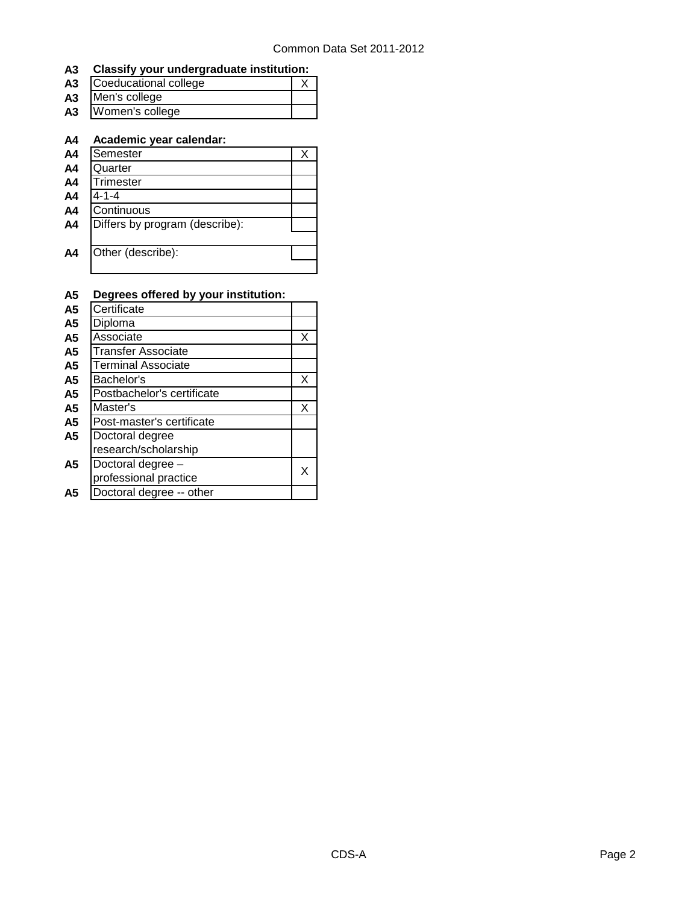#### **A3 Classify your undergraduate institution:**

| А3 | Coeducational college |  |
|----|-----------------------|--|
| А3 | Men's college         |  |
| А3 | Women's college       |  |
|    |                       |  |

#### **A4 Academic year calendar:**

| A4             | Semester                       |  |
|----------------|--------------------------------|--|
| A <sub>4</sub> | Quarter                        |  |
| A <sub>4</sub> | Trimester                      |  |
| A <sub>4</sub> | 4-1-4                          |  |
| A <sub>4</sub> | Continuous                     |  |
| A <sub>4</sub> | Differs by program (describe): |  |
|                |                                |  |
| A <sub>4</sub> | Other (describe):              |  |
|                |                                |  |

#### **A5 Degrees offered by your institution:** A5 Certificate<br>A5 Diploma **A5** Diploma **A5** Associate X<br>**A5** Transfer Associate **A5** Transfer Associate<br>**A5** Terminal Associate **A5** Terminal Associate A5 Bachelor's **A5** Postbachelor's certificate **X** A5 **Postbachelor's certificate**<br>A5 **Master's A5** Master's **A5** Post-master's certificate **X** Post-master's certificate **A5** Doctoral degree research/scholarship **A5** Doctoral degree – professional practice  $\begin{array}{c|c}\n \times \n\end{array}$ **A5** Doctoral degree -- other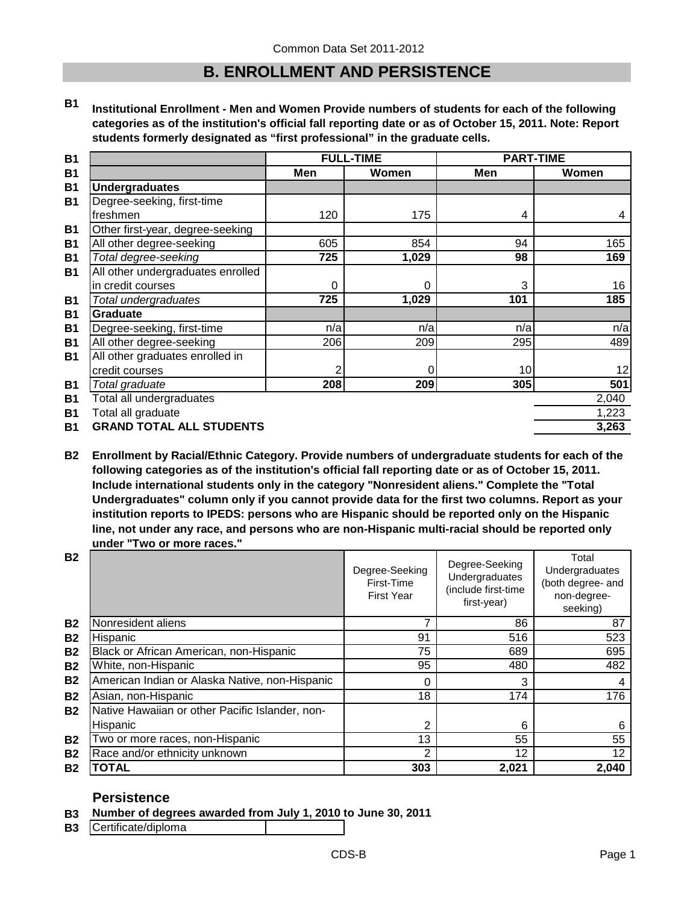### **B. ENROLLMENT AND PERSISTENCE**

**B1 Institutional Enrollment - Men and Women Provide numbers of students for each of the following categories as of the institution's official fall reporting date or as of October 15, 2011. Note: Report students formerly designated as "first professional" in the graduate cells.**

| <b>B1</b> |                                   |     | <b>FULL-TIME</b> | <b>PART-TIME</b> |       |
|-----------|-----------------------------------|-----|------------------|------------------|-------|
| <b>B1</b> |                                   | Men | Women            | Men              | Women |
| <b>B1</b> | <b>Undergraduates</b>             |     |                  |                  |       |
| <b>B1</b> | Degree-seeking, first-time        |     |                  |                  |       |
|           | freshmen                          | 120 | 175              | 4                | 4     |
| <b>B1</b> | Other first-year, degree-seeking  |     |                  |                  |       |
| <b>B1</b> | All other degree-seeking          | 605 | 854              | 94               | 165   |
| <b>B1</b> | Total degree-seeking              | 725 | 1,029            | 98               | 169   |
| <b>B1</b> | All other undergraduates enrolled |     |                  |                  |       |
|           | in credit courses                 | 0   | 0                | 3                | 16    |
| <b>B1</b> | Total undergraduates              | 725 | 1,029            | 101              | 185   |
| <b>B1</b> | <b>Graduate</b>                   |     |                  |                  |       |
| <b>B1</b> | Degree-seeking, first-time        | n/a | n/a              | n/a              | n/a   |
| <b>B1</b> | All other degree-seeking          | 206 | 209              | 295              | 489   |
| <b>B1</b> | All other graduates enrolled in   |     |                  |                  |       |
|           | credit courses                    | 2   | 0                | 10               | 12    |
| <b>B1</b> | Total graduate                    | 208 | 209              | 305              | 501   |
| <b>B1</b> | Total all undergraduates          |     |                  |                  | 2,040 |
| <b>B1</b> | Total all graduate                |     |                  |                  | 1,223 |
| <b>B1</b> | <b>GRAND TOTAL ALL STUDENTS</b>   |     |                  |                  | 3,263 |

**B2 Enrollment by Racial/Ethnic Category. Provide numbers of undergraduate students for each of the following categories as of the institution's official fall reporting date or as of October 15, 2011. Include international students only in the category "Nonresident aliens." Complete the "Total Undergraduates" column only if you cannot provide data for the first two columns. Report as your institution reports to IPEDS: persons who are Hispanic should be reported only on the Hispanic line, not under any race, and persons who are non-Hispanic multi-racial should be reported only under "Two or more races."** 

| <b>B2</b> |                                                 | Degree-Seeking<br>First-Time<br><b>First Year</b> | Degree-Seeking<br>Undergraduates<br>(include first-time<br>first-year) | Total<br>Undergraduates<br>(both degree- and<br>non-degree-<br>seeking) |
|-----------|-------------------------------------------------|---------------------------------------------------|------------------------------------------------------------------------|-------------------------------------------------------------------------|
| <b>B2</b> | Nonresident aliens                              |                                                   | 86                                                                     | 87                                                                      |
| <b>B2</b> | Hispanic                                        | 91                                                | 516                                                                    | 523                                                                     |
| <b>B2</b> | Black or African American, non-Hispanic         | 75                                                | 689                                                                    | 695                                                                     |
| <b>B2</b> | White, non-Hispanic                             | 95                                                | 480                                                                    | 482                                                                     |
| <b>B2</b> | American Indian or Alaska Native, non-Hispanic  | 0                                                 | 3                                                                      | 4                                                                       |
| <b>B2</b> | Asian, non-Hispanic                             | 18                                                | 174                                                                    | 176                                                                     |
| <b>B2</b> | Native Hawaiian or other Pacific Islander, non- |                                                   |                                                                        |                                                                         |
|           | Hispanic                                        | 2                                                 | 6                                                                      | 6                                                                       |
| <b>B2</b> | Two or more races, non-Hispanic                 | 13                                                | 55                                                                     | 55                                                                      |
| <b>B2</b> | Race and/or ethnicity unknown                   | 2                                                 | 12                                                                     | 12                                                                      |
| <b>B2</b> | TOTAL                                           | 303                                               | 2,021                                                                  | 2,040                                                                   |

### **Persistence**

**B3 Number of degrees awarded from July 1, 2010 to June 30, 2011**

**B3** Certificate/diploma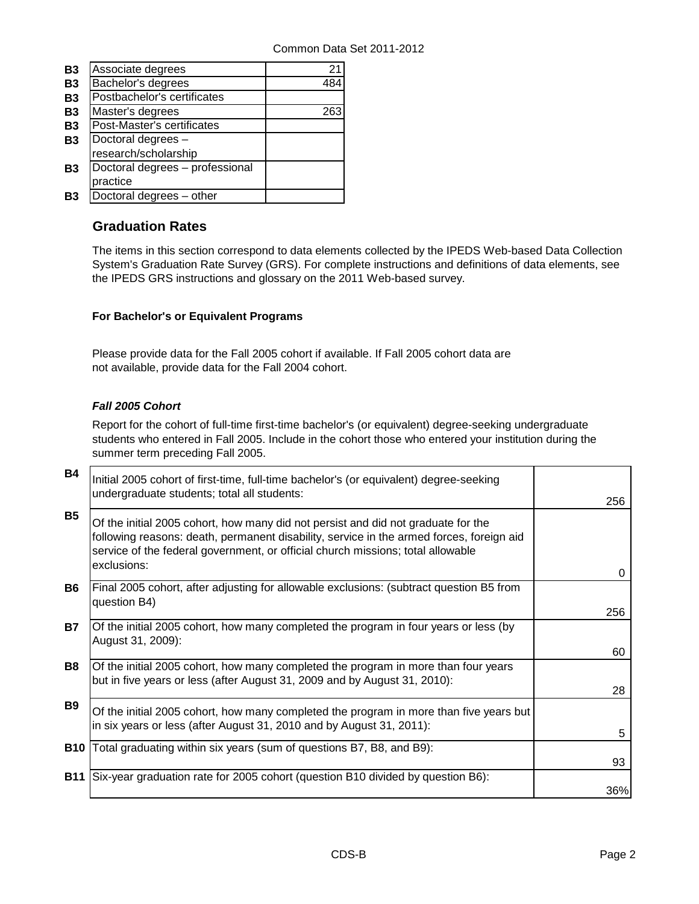| <b>B3</b> | Associate degrees               | 21  |
|-----------|---------------------------------|-----|
| <b>B3</b> | Bachelor's degrees              | 484 |
| <b>B3</b> | Postbachelor's certificates     |     |
| <b>B3</b> | Master's degrees                |     |
| <b>B3</b> | Post-Master's certificates      |     |
| <b>B3</b> | Doctoral degrees -              |     |
|           | research/scholarship            |     |
| B3        | Doctoral degrees - professional |     |
|           | practice                        |     |
| Β3        | Doctoral degrees - other        |     |

### **Graduation Rates**

The items in this section correspond to data elements collected by the IPEDS Web-based Data Collection System's Graduation Rate Survey (GRS). For complete instructions and definitions of data elements, see the IPEDS GRS instructions and glossary on the 2011 Web-based survey.

### **For Bachelor's or Equivalent Programs**

Please provide data for the Fall 2005 cohort if available. If Fall 2005 cohort data are not available, provide data for the Fall 2004 cohort.

### *Fall 2005 Cohort*

Report for the cohort of full-time first-time bachelor's (or equivalent) degree-seeking undergraduate students who entered in Fall 2005. Include in the cohort those who entered your institution during the summer term preceding Fall 2005.

| B4         | Initial 2005 cohort of first-time, full-time bachelor's (or equivalent) degree-seeking<br>undergraduate students; total all students:                                                                                                                                           | 256       |
|------------|---------------------------------------------------------------------------------------------------------------------------------------------------------------------------------------------------------------------------------------------------------------------------------|-----------|
| <b>B5</b>  | Of the initial 2005 cohort, how many did not persist and did not graduate for the<br>following reasons: death, permanent disability, service in the armed forces, foreign aid<br>service of the federal government, or official church missions; total allowable<br>exclusions: |           |
| <b>B6</b>  | Final 2005 cohort, after adjusting for allowable exclusions: (subtract question B5 from<br>question B4)                                                                                                                                                                         | 0         |
| <b>B7</b>  | Of the initial 2005 cohort, how many completed the program in four years or less (by<br>August 31, 2009):                                                                                                                                                                       | 256<br>60 |
| B8         | Of the initial 2005 cohort, how many completed the program in more than four years<br>but in five years or less (after August 31, 2009 and by August 31, 2010):                                                                                                                 | 28        |
| <b>B9</b>  | Of the initial 2005 cohort, how many completed the program in more than five years but<br>in six years or less (after August 31, 2010 and by August 31, 2011):                                                                                                                  | 5         |
| <b>B10</b> | Total graduating within six years (sum of questions B7, B8, and B9):                                                                                                                                                                                                            | 93        |
| <b>B11</b> | Six-year graduation rate for 2005 cohort (question B10 divided by question B6):                                                                                                                                                                                                 | 36%       |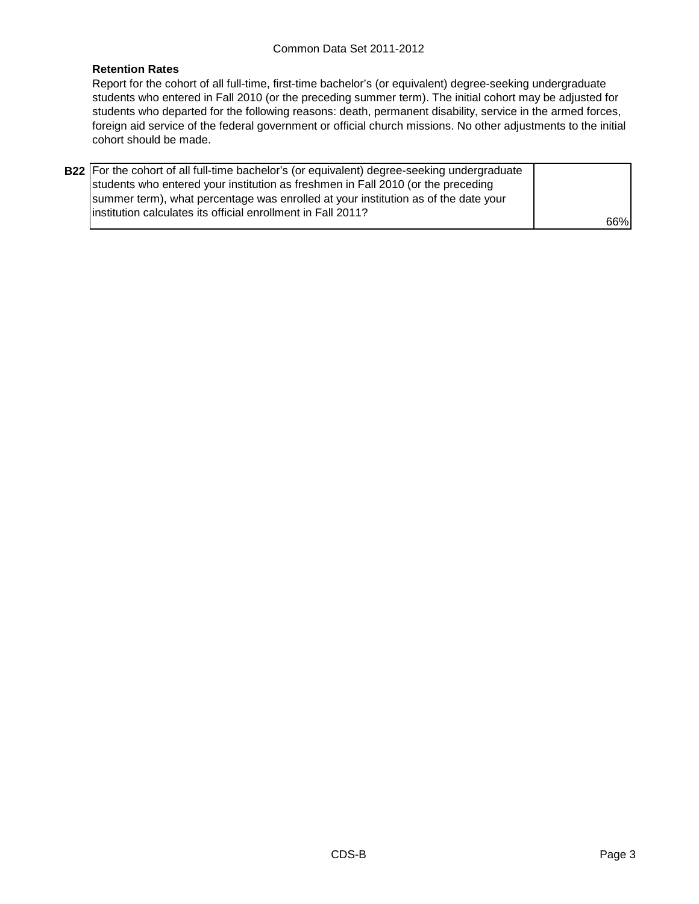#### **Retention Rates**

Report for the cohort of all full-time, first-time bachelor's (or equivalent) degree-seeking undergraduate students who entered in Fall 2010 (or the preceding summer term). The initial cohort may be adjusted for students who departed for the following reasons: death, permanent disability, service in the armed forces, foreign aid service of the federal government or official church missions. No other adjustments to the initial cohort should be made.

| B22 For the cohort of all full-time bachelor's (or equivalent) degree-seeking undergraduate |     |
|---------------------------------------------------------------------------------------------|-----|
| students who entered your institution as freshmen in Fall 2010 (or the preceding            |     |
| summer term), what percentage was enrolled at your institution as of the date your          |     |
| linstitution calculates its official enrollment in Fall 2011?                               |     |
|                                                                                             | 66% |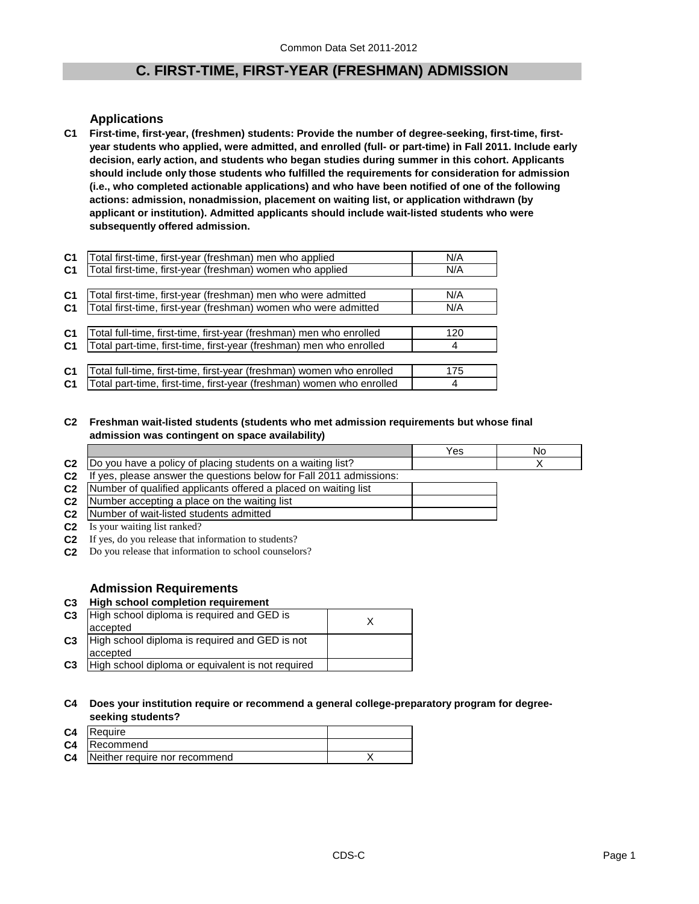### **C. FIRST-TIME, FIRST-YEAR (FRESHMAN) ADMISSION**

### **Applications**

**C1 First-time, first-year, (freshmen) students: Provide the number of degree-seeking, first-time, firstyear students who applied, were admitted, and enrolled (full- or part-time) in Fall 2011. Include early decision, early action, and students who began studies during summer in this cohort. Applicants should include only those students who fulfilled the requirements for consideration for admission (i.e., who completed actionable applications) and who have been notified of one of the following actions: admission, nonadmission, placement on waiting list, or application withdrawn (by applicant or institution). Admitted applicants should include wait-listed students who were subsequently offered admission.**

| C <sub>1</sub> | Total first-time, first-year (freshman) men who applied               | N/A |
|----------------|-----------------------------------------------------------------------|-----|
| C <sub>1</sub> | Total first-time, first-year (freshman) women who applied             | N/A |
|                |                                                                       |     |
| C <sub>1</sub> | Total first-time, first-year (freshman) men who were admitted         | N/A |
| C <sub>1</sub> | Total first-time, first-year (freshman) women who were admitted       | N/A |
|                |                                                                       |     |
| C <sub>1</sub> | Total full-time, first-time, first-year (freshman) men who enrolled   | 120 |
| C1             | Total part-time, first-time, first-year (freshman) men who enrolled   |     |
|                |                                                                       |     |
| C <sub>1</sub> | Total full-time, first-time, first-year (freshman) women who enrolled | 175 |
| C1             | Total part-time, first-time, first-year (freshman) women who enrolled | 4   |

#### **C2 Freshman wait-listed students (students who met admission requirements but whose final admission was contingent on space availability)**

|                |                                                                         | Yes | No |
|----------------|-------------------------------------------------------------------------|-----|----|
|                | C2  Do you have a policy of placing students on a waiting list?         |     |    |
| C <sub>2</sub> | yes, please answer the questions below for Fall 2011 admissions:<br>-lt |     |    |
|                | C2 Number of qualified applicants offered a placed on waiting list      |     |    |
|                | <b>C2</b> Number accepting a place on the waiting list                  |     |    |
|                | C <sub>2</sub> Number of wait-listed students admitted                  |     |    |
| C <sub>2</sub> | Is your waiting list ranked?                                            |     |    |

- **C2** If yes, do you release that information to students?
- **C2** Do you release that information to school counselors?

#### **Admission Requirements**

#### **C3 High school completion requirement C3** High school diploma is required and GED is  $\times$ **C3** accepted High school diploma is required and GED is not

**C3** High school diploma or equivalent is not required accepted

#### **C4 Does your institution require or recommend a general college-preparatory program for degreeseeking students?**

| C <sub>4</sub> | <b>IRequire</b>               |  |
|----------------|-------------------------------|--|
| C <sub>4</sub> | Recommend                     |  |
| C <sub>4</sub> | Neither require nor recommend |  |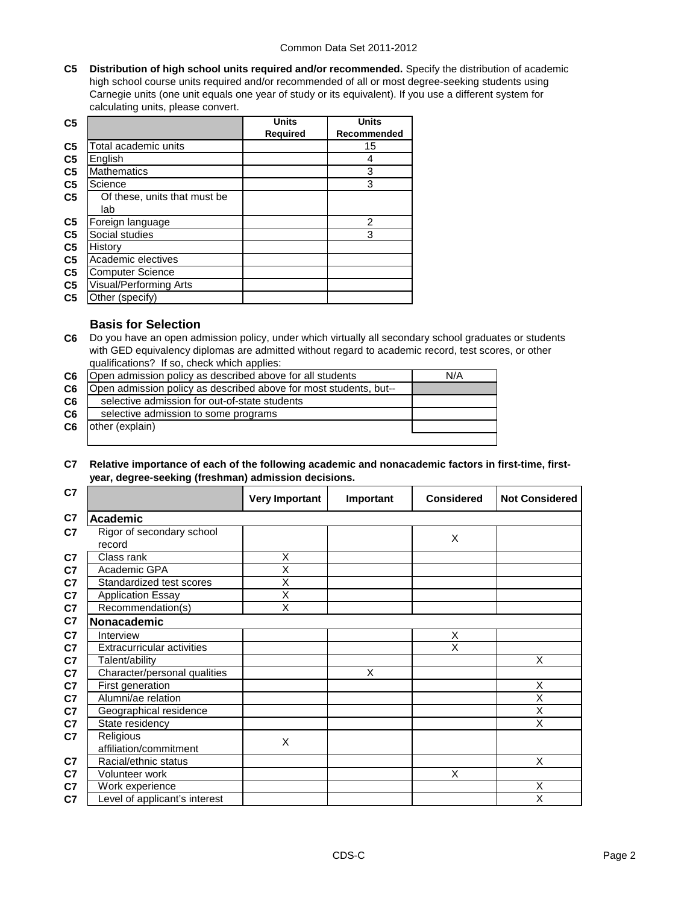**C5 Distribution of high school units required and/or recommended.** Specify the distribution of academic high school course units required and/or recommended of all or most degree-seeking students using Carnegie units (one unit equals one year of study or its equivalent). If you use a different system for calculating units, please convert.

| C <sub>5</sub> |                               | <b>Units</b>    | <b>Units</b>       |
|----------------|-------------------------------|-----------------|--------------------|
|                |                               | <b>Required</b> | <b>Recommended</b> |
| C <sub>5</sub> | Total academic units          |                 | 15                 |
| C <sub>5</sub> | English                       |                 | 4                  |
| C <sub>5</sub> | <b>Mathematics</b>            |                 | 3                  |
| C <sub>5</sub> | Science                       |                 | 3                  |
| C <sub>5</sub> | Of these, units that must be  |                 |                    |
|                | lab                           |                 |                    |
| C <sub>5</sub> | Foreign language              |                 | 2                  |
| C <sub>5</sub> | Social studies                |                 | 3                  |
| C <sub>5</sub> | History                       |                 |                    |
| C <sub>5</sub> | Academic electives            |                 |                    |
| C <sub>5</sub> | <b>Computer Science</b>       |                 |                    |
| C <sub>5</sub> | <b>Visual/Performing Arts</b> |                 |                    |
| C <sub>5</sub> | Other (specify)               |                 |                    |

### **Basis for Selection**

**C6** Do you have an open admission policy, under which virtually all secondary school graduates or students with GED equivalency diplomas are admitted without regard to academic record, test scores, or other qualifications? If so, check which applies:

| C6             | Open admission policy as described above for all students         | N/A |
|----------------|-------------------------------------------------------------------|-----|
| C6             | Open admission policy as described above for most students, but-- |     |
| C <sub>6</sub> | selective admission for out-of-state students                     |     |
| C <sub>6</sub> | selective admission to some programs                              |     |
| C <sub>6</sub> | other (explain)                                                   |     |
|                |                                                                   |     |

#### **C7 Relative importance of each of the following academic and nonacademic factors in first-time, firstyear, degree-seeking (freshman) admission decisions.**

| C7             |                                     | <b>Very Important</b> | Important | <b>Considered</b>       | <b>Not Considered</b>   |
|----------------|-------------------------------------|-----------------------|-----------|-------------------------|-------------------------|
| C7             | <b>Academic</b>                     |                       |           |                         |                         |
| C <sub>7</sub> | Rigor of secondary school<br>record |                       |           | X                       |                         |
| C7             | Class rank                          | X                     |           |                         |                         |
| C7             | Academic GPA                        | X                     |           |                         |                         |
| C7             | Standardized test scores            | X                     |           |                         |                         |
| C7             | <b>Application Essay</b>            | X                     |           |                         |                         |
| C7             | Recommendation(s)                   | X                     |           |                         |                         |
| C <sub>7</sub> | Nonacademic                         |                       |           |                         |                         |
| C <sub>7</sub> | Interview                           |                       |           | X                       |                         |
| C <sub>7</sub> | <b>Extracurricular activities</b>   |                       |           | $\overline{\mathsf{x}}$ |                         |
| C <sub>7</sub> | Talent/ability                      |                       |           |                         | X                       |
| C7             | Character/personal qualities        |                       | X         |                         |                         |
| C <sub>7</sub> | First generation                    |                       |           |                         | X                       |
| C7             | Alumni/ae relation                  |                       |           |                         | X                       |
| C7             | Geographical residence              |                       |           |                         | $\overline{\mathsf{x}}$ |
| C7             | State residency                     |                       |           |                         | X                       |
| C7             | Religious                           | X                     |           |                         |                         |
|                | affiliation/commitment              |                       |           |                         |                         |
| C <sub>7</sub> | Racial/ethnic status                |                       |           |                         | X                       |
| C <sub>7</sub> | Volunteer work                      |                       |           | X                       |                         |
| C7             | Work experience                     |                       |           |                         | X                       |
| C7             | Level of applicant's interest       |                       |           |                         | X                       |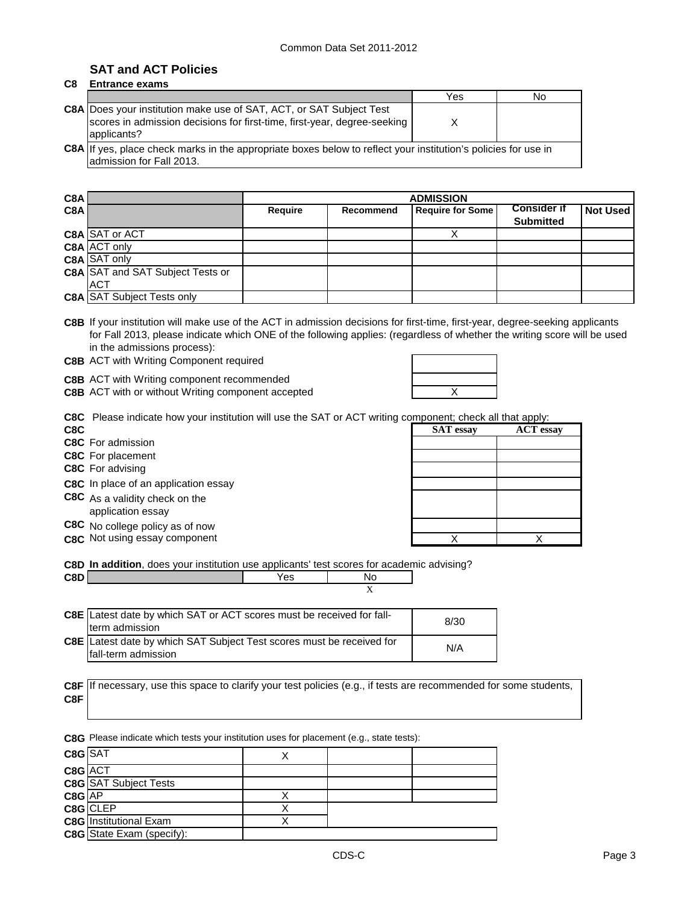### **SAT and ACT Policies**

### **C8 Entrance exams**

|                                                                                                                                                                       | Yes | No |
|-----------------------------------------------------------------------------------------------------------------------------------------------------------------------|-----|----|
| <b>C8A</b> Does your institution make use of SAT, ACT, or SAT Subject Test<br>scores in admission decisions for first-time, first-year, degree-seeking<br>applicants? |     |    |
| C8A If yes, place check marks in the appropriate boxes below to reflect your institution's policies for use in<br>admission for Fall 2013.                            |     |    |

| C8A |                                         |                |                  |                         |                                        |          |
|-----|-----------------------------------------|----------------|------------------|-------------------------|----------------------------------------|----------|
| C8A |                                         | <b>Require</b> | <b>Recommend</b> | <b>Require for Some</b> | <b>Consider if</b><br><b>Submitted</b> | Not Used |
|     | C8A SAT or ACT                          |                |                  |                         |                                        |          |
|     | C8A ACT only                            |                |                  |                         |                                        |          |
|     | <b>C8A SAT only</b>                     |                |                  |                         |                                        |          |
|     | <b>C8A SAT and SAT Subject Tests or</b> |                |                  |                         |                                        |          |
|     | <b>ACT</b>                              |                |                  |                         |                                        |          |
|     | <b>C8A SAT Subject Tests only</b>       |                |                  |                         |                                        |          |

**C8B** If your institution will make use of the ACT in admission decisions for first-time, first-year, degree-seeking applicants for Fall 2013, please indicate which ONE of the following applies: (regardless of whether the writing score will be used in the admissions process):

**C8B** ACT with Writing Component required

**C8B** ACT with Writing component recommended

**C8B** ACT with or without Writing component accepted **ACC ACC ACC ACC ACC ACC ACC ACC ACC ACC ACC ACC ACC ACC ACC ACC ACC ACC ACC ACC ACC ACC ACC ACC ACC ACC ACC ACC**

|            | <b>C8C</b> Please indicate how your institution will use the SAT or ACT writing component; check all that apply: |                                                                                                                                                                                                                                                                                                                                                                                                                                                                                            |                              |
|------------|------------------------------------------------------------------------------------------------------------------|--------------------------------------------------------------------------------------------------------------------------------------------------------------------------------------------------------------------------------------------------------------------------------------------------------------------------------------------------------------------------------------------------------------------------------------------------------------------------------------------|------------------------------|
| <b>coc</b> |                                                                                                                  | $\blacksquare$ $\blacksquare$ $\blacksquare$ $\blacksquare$ $\blacksquare$ $\blacksquare$ $\blacksquare$ $\blacksquare$ $\blacksquare$ $\blacksquare$ $\blacksquare$ $\blacksquare$ $\blacksquare$ $\blacksquare$ $\blacksquare$ $\blacksquare$ $\blacksquare$ $\blacksquare$ $\blacksquare$ $\blacksquare$ $\blacksquare$ $\blacksquare$ $\blacksquare$ $\blacksquare$ $\blacksquare$ $\blacksquare$ $\blacksquare$ $\blacksquare$ $\blacksquare$ $\blacksquare$ $\blacksquare$ $\blacks$ | $\Lambda$ $C_{\rm T}$ $\sim$ |

| <b>C8C</b> For admission                    |
|---------------------------------------------|
| <b>C8C</b> For placement                    |
| <b>C8C</b> For advising                     |
| <b>C8C</b> In place of an application essay |
| C8C As a validity check on the              |
| application essay                           |
| C8C No college policy as of now             |
| C8C Not using essay component               |
|                                             |

|     | and reach management has been management and and an international account and an analysis and all |                  |                  |
|-----|---------------------------------------------------------------------------------------------------|------------------|------------------|
| C8C |                                                                                                   | <b>SAT</b> essay | <b>ACT</b> essay |
|     | C8C For admission                                                                                 |                  |                  |
|     | C8C For placement                                                                                 |                  |                  |
|     | C8C For advising                                                                                  |                  |                  |
|     | C8C In place of an application essay                                                              |                  |                  |
|     | C8C As a validity check on the<br>application essay                                               |                  |                  |
|     | C8C No college policy as of now                                                                   |                  |                  |
|     | C8C Not using essay component                                                                     |                  |                  |

**C8D In addition**, does your institution use applicants' test scores for academic advising?

**C8D** Mo

C8E Latest date by which SAT or ACT scores must be received for fall-<br>term admission **C8E** Latest date by which SAT Subject Test scores must be received for  $N/A$ fall-term admission term admission

|     | C8F If necessary, use this space to clarify your test policies (e.g., if tests are recommended for some students, |
|-----|-------------------------------------------------------------------------------------------------------------------|
| C8F |                                                                                                                   |

**C8G** Please indicate which tests your institution uses for placement (e.g., state tests):

| C8G SAT  |                                  |  |  |
|----------|----------------------------------|--|--|
| C8G ACT  |                                  |  |  |
|          | <b>C8G</b> SAT Subject Tests     |  |  |
| $C8G$ AP |                                  |  |  |
|          | C8G CLEP                         |  |  |
|          | <b>C8G</b> Institutional Exam    |  |  |
|          | <b>C8G</b> State Exam (specify): |  |  |

X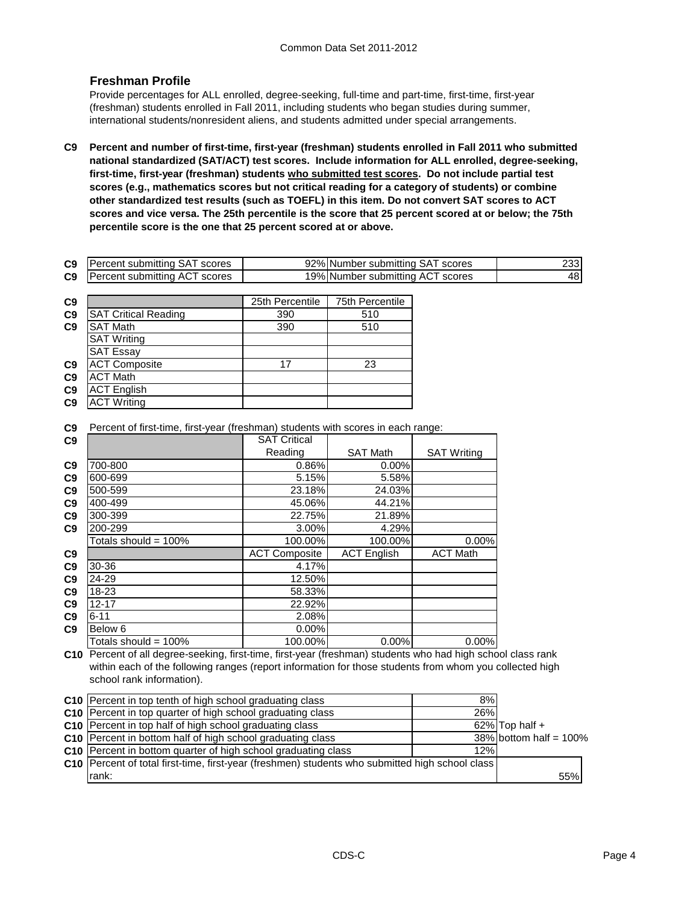### **Freshman Profile**

Provide percentages for ALL enrolled, degree-seeking, full-time and part-time, first-time, first-year (freshman) students enrolled in Fall 2011, including students who began studies during summer, international students/nonresident aliens, and students admitted under special arrangements.

**C9 Percent and number of first-time, first-year (freshman) students enrolled in Fall 2011 who submitted national standardized (SAT/ACT) test scores. Include information for ALL enrolled, degree-seeking, first-time, first-year (freshman) students who submitted test scores. Do not include partial test scores (e.g., mathematics scores but not critical reading for a category of students) or combine other standardized test results (such as TOEFL) in this item. Do not convert SAT scores to ACT scores and vice versa. The 25th percentile is the score that 25 percent scored at or below; the 75th percentile score is the one that 25 percent scored at or above.**

| C <sub>9</sub> | IPercent submitting SAT scores | 92% Number submitting SAT scores | וממר |
|----------------|--------------------------------|----------------------------------|------|
| C <sub>9</sub> | Percent submitting ACT scores  | 19% Number submitting ACT scores | 48 I |

| C <sub>9</sub> |                             | 25th Percentile | 75th Percentile |
|----------------|-----------------------------|-----------------|-----------------|
| C <sub>9</sub> | <b>SAT Critical Reading</b> | 390             | 510             |
| C9             | <b>SAT Math</b>             | 390             | 510             |
|                | <b>SAT Writing</b>          |                 |                 |
|                | <b>SAT Essay</b>            |                 |                 |
| C9             | <b>ACT Composite</b>        | 17              | 23              |
| C9             | <b>ACT Math</b>             |                 |                 |
| C9             | <b>ACT English</b>          |                 |                 |
| C <sub>9</sub> | <b>ACT Writing</b>          |                 |                 |

**C9** Percent of first-time, first-year (freshman) students with scores in each range:

| C9             |                         | <b>SAT Critical</b>  |                    |                    |
|----------------|-------------------------|----------------------|--------------------|--------------------|
|                |                         | Reading              | <b>SAT Math</b>    | <b>SAT Writing</b> |
| C <sub>9</sub> | 700-800                 | 0.86%                | 0.00%              |                    |
| C9             | 600-699                 | 5.15%                | 5.58%              |                    |
| C9             | 500-599                 | 23.18%               | 24.03%             |                    |
| C9             | 400-499                 | 45.06%               | 44.21%             |                    |
| C9             | 300-399                 | 22.75%               | 21.89%             |                    |
| C9             | 200-299                 | 3.00%                | 4.29%              |                    |
|                | Totals should = $100\%$ | 100.00%              | 100.00%            | $0.00\%$           |
| C9             |                         | <b>ACT Composite</b> | <b>ACT English</b> | <b>ACT Math</b>    |
| C <sub>9</sub> | 30-36                   | 4.17%                |                    |                    |
| C <sub>9</sub> | 24-29                   | 12.50%               |                    |                    |
| C9             | 18-23                   | 58.33%               |                    |                    |
| C9             | 12-17                   | 22.92%               |                    |                    |
| C9             | $6 - 11$                | 2.08%                |                    |                    |
| C9             | Below 6                 | 0.00%                |                    |                    |
|                | Totals should = 100%    | 100.00%              | 0.00%              | $0.00\%$           |

**C10** Percent of all degree-seeking, first-time, first-year (freshman) students who had high school class rank within each of the following ranges (report information for those students from whom you collected high school rank information).

| C10 Percent in top tenth of high school graduating class                                               | 8%  |                           |
|--------------------------------------------------------------------------------------------------------|-----|---------------------------|
| C10 Percent in top quarter of high school graduating class                                             | 26% |                           |
| C10 Percent in top half of high school graduating class                                                |     | $62\%$ Top half +         |
| C10 Percent in bottom half of high school graduating class                                             |     | $38\%$ bottom half = 100% |
| C10 Percent in bottom quarter of high school graduating class                                          | 12% |                           |
| <b>C10</b> Percent of total first-time, first-year (freshmen) students who submitted high school class |     |                           |
| rank:                                                                                                  |     | 55%                       |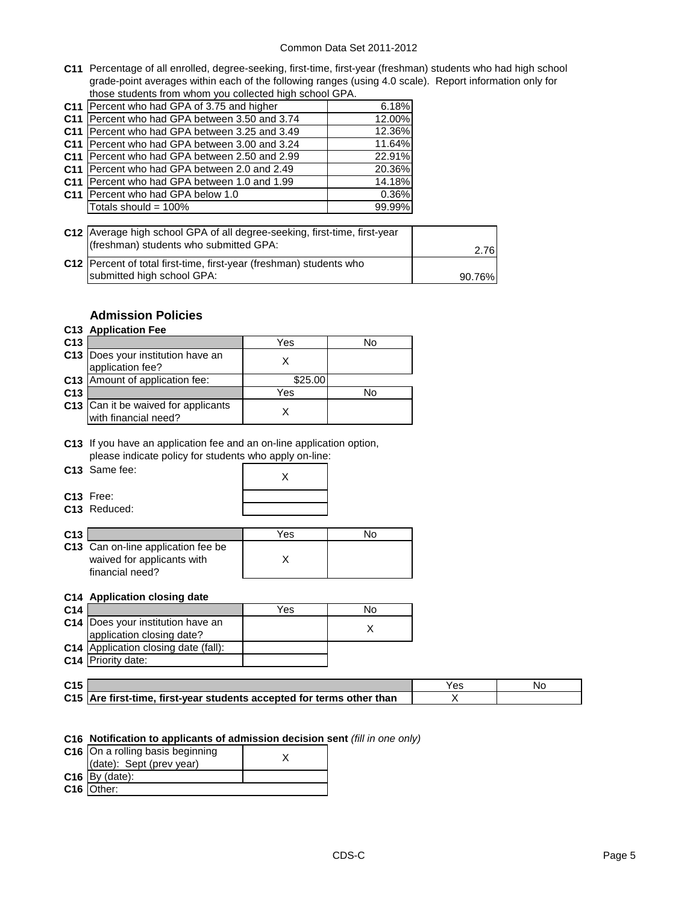**C11** Percentage of all enrolled, degree-seeking, first-time, first-year (freshman) students who had high school grade-point averages within each of the following ranges (using 4.0 scale). Report information only for those students from whom you collected high school GPA.

|                 | C11 Percent who had GPA of 3.75 and higher      | 6.18%  |
|-----------------|-------------------------------------------------|--------|
| C <sub>11</sub> | Percent who had GPA between 3.50 and 3.74       | 12.00% |
| C <sub>11</sub> | Percent who had GPA between 3.25 and 3.49       | 12.36% |
|                 | C11   Percent who had GPA between 3.00 and 3.24 | 11.64% |
|                 | C11   Percent who had GPA between 2.50 and 2.99 | 22.91% |
|                 | C11 Percent who had GPA between 2.0 and 2.49    | 20.36% |
| C <sub>11</sub> | Percent who had GPA between 1.0 and 1.99        | 14.18% |
|                 | C11 Percent who had GPA below 1.0               | 0.36%  |
|                 | Totals should = 100%                            | 99.99% |

| C12 Average high school GPA of all degree-seeking, first-time, first-year<br>(freshman) students who submitted GPA: | 2.76I  |
|---------------------------------------------------------------------------------------------------------------------|--------|
| C12 Percent of total first-time, first-year (freshman) students who<br>submitted high school GPA:                   | 90.76% |

### **Admission Policies**

### **C13 Application Fee**

| C <sub>13</sub> |                                                             | Yes     | N٥ |
|-----------------|-------------------------------------------------------------|---------|----|
|                 | C13   Does your institution have an<br>application fee?     |         |    |
|                 | C13 Amount of application fee:                              | \$25.00 |    |
| C <sub>13</sub> |                                                             | Yes     | N٥ |
|                 | C13 Can it be waived for applicants<br>with financial need? |         |    |

**C13** If you have an application fee and an on-line application option, please indicate policy for students who apply on-line:

| C13 Same fee: |  |
|---------------|--|
|               |  |

| C13 Same fee:  |  |
|----------------|--|
| C13 Free:      |  |
| $C13$ Reduced: |  |

**C13** Free: **C13** Reduced:

| C <sub>13</sub> |                                                                                     | Yes | NC |
|-----------------|-------------------------------------------------------------------------------------|-----|----|
|                 | C13 Can on-line application fee be<br>waived for applicants with<br>financial need? |     |    |

#### **C14 Application closing date**

| C <sub>14</sub> |                                          | Yes | No |
|-----------------|------------------------------------------|-----|----|
|                 | <b>C14</b> Does your institution have an |     |    |
|                 | application closing date?                |     |    |
|                 | C14 Application closing date (fall):     |     |    |
|                 | <b>C14</b> Priority date:                |     |    |

| C <sub>15</sub> |                                                                       |  |
|-----------------|-----------------------------------------------------------------------|--|
|                 | C15 Are first-time, first-year students accepted for terms other than |  |

#### **C16 Notification to applicants of admission decision sent** *(fill in one only)*

| C16 On a rolling basis beginning |  |
|----------------------------------|--|
| (date): Sept (prev year)         |  |
| $C16$ By (date):                 |  |
| C <sub>16</sub> Other:           |  |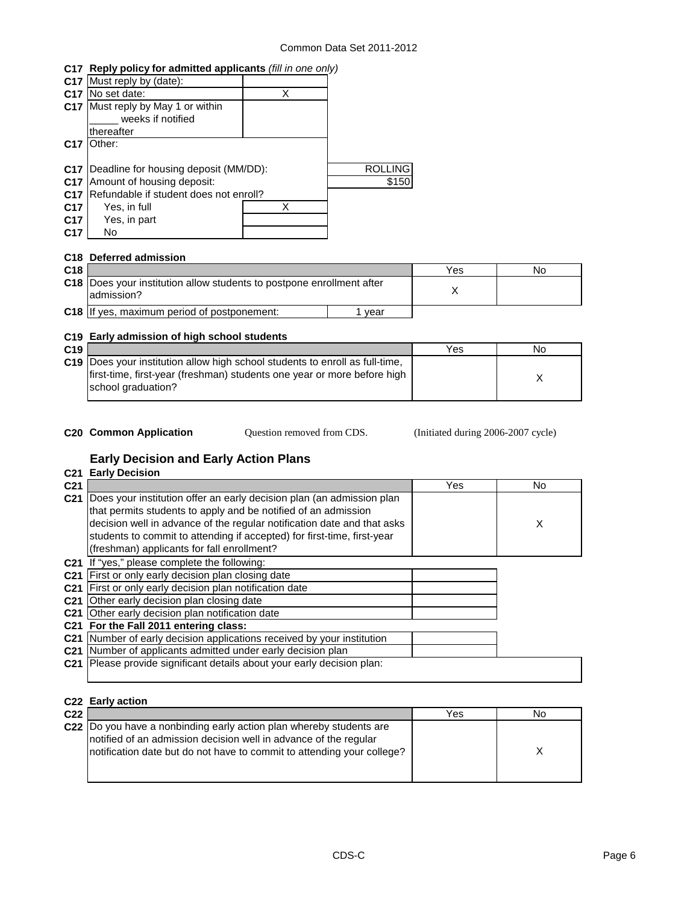#### **C17 Reply policy for admitted applicants** *(fill in one only)*

|                 | C17 Must reply by (date):              |   |                |
|-----------------|----------------------------------------|---|----------------|
| C <sub>17</sub> | No set date:                           | X |                |
| C17             | Must reply by May 1 or within          |   |                |
|                 | weeks if notified                      |   |                |
|                 | thereafter                             |   |                |
| C <sub>17</sub> | Other:                                 |   |                |
|                 |                                        |   |                |
| C <sub>17</sub> | Deadline for housing deposit (MM/DD):  |   | <b>ROLLING</b> |
| C <sub>17</sub> | Amount of housing deposit:             |   | \$150          |
| C <sub>17</sub> | Refundable if student does not enroll? |   |                |
| C <sub>17</sub> | Yes, in full                           |   |                |
| C <sub>17</sub> | Yes, in part                           |   |                |
| C <sub>17</sub> | No.                                    |   |                |
|                 |                                        |   |                |

#### **C18 Deferred admission**

| C <sub>18</sub> |                                                                                        |      | Yes | No |
|-----------------|----------------------------------------------------------------------------------------|------|-----|----|
|                 | C18   Does your institution allow students to postpone enrollment after<br>ladmission? |      |     |    |
|                 | <b>C18</b> If yes, maximum period of postponement:                                     | vear |     |    |

#### **C19 Early admission of high school students**

| C19 |                                                                                     | Yes | No |
|-----|-------------------------------------------------------------------------------------|-----|----|
|     | <b>C19</b> Does your institution allow high school students to enroll as full-time, |     |    |
|     | first-time, first-year (freshman) students one year or more before high             |     |    |
|     | school graduation?                                                                  |     |    |
|     |                                                                                     |     |    |

- 
- Question removed from CDS.

**C20 Common Application** Question removed from CDS. (Initiated during 2006-2007 cycle)

### **Early Decision and Early Action Plans**

#### **C21 Early Decision C21** Yes No **C21** Does your institution offer an early decision plan (an admission plan X **C21** If "yes," please complete the following: **C21** First or only early decision plan closing date **C21** First or only early decision plan notification date **C21** Other early decision plan closing date **C21** Other early decision plan notification date **C21 For the Fall 2011 entering class: C21** Number of early decision applications received by your institution **C21** Number of applicants admitted under early decision plan **C21** Please provide significant details about your early decision plan: that permits students to apply and be notified of an admission decision well in advance of the regular notification date and that asks students to commit to attending if accepted) for first-time, first-year (freshman) applicants for fall enrollment?

#### **C22 Early action**

| C <sub>22</sub> |                                                                                                                                                                                                                    | Yes | No |
|-----------------|--------------------------------------------------------------------------------------------------------------------------------------------------------------------------------------------------------------------|-----|----|
|                 | C22 Do you have a nonbinding early action plan whereby students are<br>notified of an admission decision well in advance of the regular<br>Inotification date but do not have to commit to attending your college? |     |    |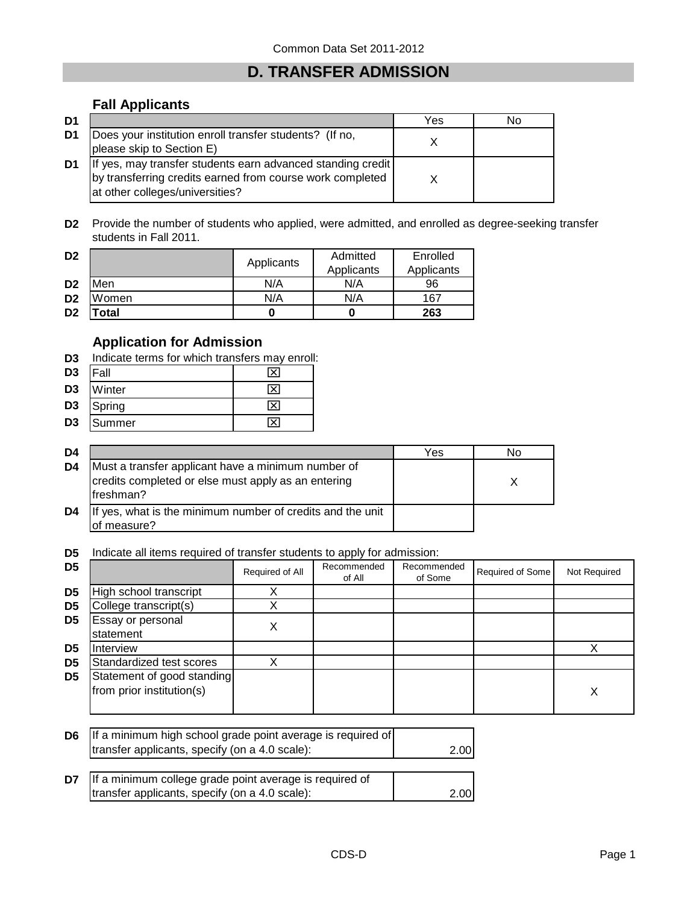# **D. TRANSFER ADMISSION**

### **Fall Applicants**

| D1 |                                                                                                                                                             | Yes | N٥ |
|----|-------------------------------------------------------------------------------------------------------------------------------------------------------------|-----|----|
| D1 | Does your institution enroll transfer students? (If no,<br>please skip to Section E)                                                                        |     |    |
| D1 | If yes, may transfer students earn advanced standing credit<br>by transferring credits earned from course work completed<br>at other colleges/universities? |     |    |

**D2** Provide the number of students who applied, were admitted, and enrolled as degree-seeking transfer students in Fall 2011.

| D <sub>2</sub> | 'otal |            |                        | 263                    |
|----------------|-------|------------|------------------------|------------------------|
| D <sub>2</sub> | Women | N/A        | N/A                    | 167                    |
| D <sub>2</sub> | Men   | N/A        | N/A                    | 96                     |
| D <sub>2</sub> |       | Applicants | Admitted<br>Applicants | Enrolled<br>Applicants |

# **Application for Admission**

**D3** Indicate terms for which transfers may enroll:

| D <sub>3</sub> | <b>Fall</b> | 'Xı |
|----------------|-------------|-----|
| D3             | Winter      | ∣x  |
| D <sub>3</sub> | Spring      | ∣×  |
| D <sub>3</sub> | Summer      | ×   |

| D4 |                                                                                                                         | Yes | No |
|----|-------------------------------------------------------------------------------------------------------------------------|-----|----|
| D4 | Must a transfer applicant have a minimum number of<br>credits completed or else must apply as an entering<br>lfreshman? |     |    |
| D4 | If yes, what is the minimum number of credits and the unit<br>of measure?                                               |     |    |

**D5** Indicate all items required of transfer students to apply for admission:

| D <sub>5</sub> |                                                         | Required of All | Recommended<br>of All | Recommended<br>of Some | Required of Some | Not Required |
|----------------|---------------------------------------------------------|-----------------|-----------------------|------------------------|------------------|--------------|
| D <sub>5</sub> | High school transcript                                  |                 |                       |                        |                  |              |
| D <sub>5</sub> | College transcript(s)                                   |                 |                       |                        |                  |              |
| D <sub>5</sub> | Essay or personal<br>statement                          | х               |                       |                        |                  |              |
| D <sub>5</sub> | Interview                                               |                 |                       |                        |                  |              |
| D <sub>5</sub> | Standardized test scores                                |                 |                       |                        |                  |              |
| D <sub>5</sub> | Statement of good standing<br>from prior institution(s) |                 |                       |                        |                  | Х            |

| <b>D6</b> If a minimum high school grade point average is required of |      |
|-----------------------------------------------------------------------|------|
| transfer applicants, specify (on a 4.0 scale):                        | 2.00 |

| <b>D7</b> If a minimum college grade point average is required of |      |
|-------------------------------------------------------------------|------|
| transfer applicants, specify (on a 4.0 scale):                    | 2.00 |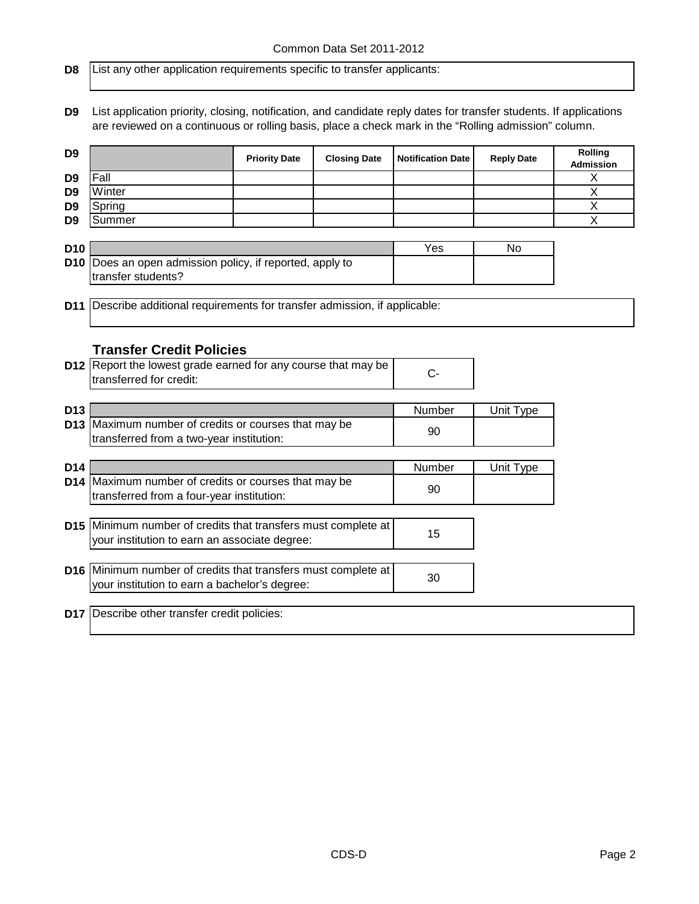**D8** List any other application requirements specific to transfer applicants:

**D9** List application priority, closing, notification, and candidate reply dates for transfer students. If applications are reviewed on a continuous or rolling basis, place a check mark in the "Rolling admission" column.

| D <sub>9</sub>  |                                                                         | <b>Priority Date</b> | <b>Closing Date</b> | <b>Notification Date</b> | <b>Reply Date</b> | Rolling<br><b>Admission</b> |
|-----------------|-------------------------------------------------------------------------|----------------------|---------------------|--------------------------|-------------------|-----------------------------|
| D <sub>9</sub>  | Fall                                                                    |                      |                     |                          |                   | X                           |
| D <sub>9</sub>  | Winter                                                                  |                      |                     |                          |                   | X                           |
| D <sub>9</sub>  | Spring                                                                  |                      |                     |                          |                   | X                           |
| D <sub>9</sub>  | Summer                                                                  |                      |                     |                          |                   | $\overline{\mathsf{x}}$     |
|                 |                                                                         |                      |                     |                          |                   |                             |
| <b>D10</b>      |                                                                         |                      |                     | Yes                      | No.               |                             |
| D <sub>10</sub> | Does an open admission policy, if reported, apply to                    |                      |                     |                          |                   |                             |
|                 | transfer students?                                                      |                      |                     |                          |                   |                             |
|                 |                                                                         |                      |                     |                          |                   |                             |
| D <sub>11</sub> | Describe additional requirements for transfer admission, if applicable: |                      |                     |                          |                   |                             |
|                 |                                                                         |                      |                     |                          |                   |                             |
|                 |                                                                         |                      |                     |                          |                   |                             |
|                 | <b>Transfer Credit Policies</b>                                         |                      |                     |                          |                   |                             |
|                 | D12 Report the lowest grade earned for any course that may be           |                      |                     |                          |                   |                             |
|                 | transferred for credit:                                                 |                      |                     | $C -$                    |                   |                             |
|                 |                                                                         |                      |                     |                          |                   |                             |
| <b>D13</b>      |                                                                         |                      |                     | Number                   | Unit Type         |                             |
|                 | D13 Maximum number of credits or courses that may be                    |                      |                     |                          |                   |                             |
|                 | transferred from a two-year institution:                                |                      |                     | 90                       |                   |                             |
|                 |                                                                         |                      |                     |                          |                   |                             |
| D <sub>14</sub> |                                                                         |                      |                     | Number                   | Unit Type         |                             |
|                 | D14 Maximum number of credits or courses that may be                    |                      |                     |                          |                   |                             |
|                 | transferred from a four-year institution:                               |                      |                     | 90                       |                   |                             |
|                 |                                                                         |                      |                     |                          |                   |                             |
|                 | D15 Minimum number of credits that transfers must complete at           |                      |                     |                          |                   |                             |
|                 | your institution to earn an associate degree:                           |                      |                     | 15                       |                   |                             |
|                 |                                                                         |                      |                     |                          |                   |                             |
|                 | D16 Minimum number of credits that transfers must complete at           |                      |                     |                          |                   |                             |
|                 | your institution to earn a bachelor's degree:                           |                      |                     | 30                       |                   |                             |
|                 |                                                                         |                      |                     |                          |                   |                             |

**D17** Describe other transfer credit policies: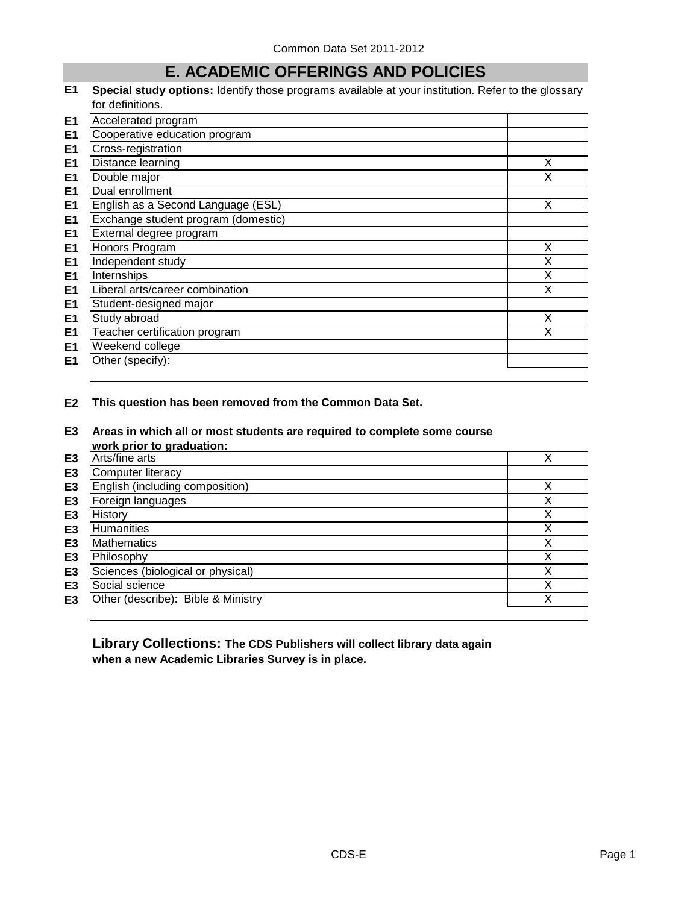## **E. ACADEMIC OFFERINGS AND POLICIES**

**E1 Special study options:** Identify those programs available at your institution. Refer to the glossary for definitions.

| E <sub>1</sub> | Accelerated program                 |   |
|----------------|-------------------------------------|---|
| E <sub>1</sub> | Cooperative education program       |   |
| E <sub>1</sub> | Cross-registration                  |   |
| E <sub>1</sub> | Distance learning                   | X |
| E <sub>1</sub> | Double major                        | X |
| E <sub>1</sub> | Dual enrollment                     |   |
| E <sub>1</sub> | English as a Second Language (ESL)  | X |
| E <sub>1</sub> | Exchange student program (domestic) |   |
| E <sub>1</sub> | External degree program             |   |
| E1             | Honors Program                      | X |
| E <sub>1</sub> | Independent study                   | X |
| E1             | Internships                         | X |
| E <sub>1</sub> | Liberal arts/career combination     | X |
| E <sub>1</sub> | Student-designed major              |   |
| E <sub>1</sub> | Study abroad                        | X |
| E <sub>1</sub> | Teacher certification program       |   |
| E <sub>1</sub> | Weekend college                     |   |
| E <sub>1</sub> | Other (specify):                    |   |
|                |                                     |   |

#### **E2 This question has been removed from the Common Data Set.**

**E3 Areas in which all or most students are required to complete some course** 

|                | work prior to graduation:          |   |
|----------------|------------------------------------|---|
| E <sub>3</sub> | Arts/fine arts                     | X |
| E <sub>3</sub> | Computer literacy                  |   |
| E <sub>3</sub> | English (including composition)    |   |
| E <sub>3</sub> | Foreign languages                  | х |
| E <sub>3</sub> | History                            | X |
| E <sub>3</sub> | <b>Humanities</b>                  | Χ |
| E <sub>3</sub> | <b>Mathematics</b>                 | Χ |
| E <sub>3</sub> | Philosophy                         | Χ |
| E <sub>3</sub> | Sciences (biological or physical)  | Χ |
| E <sub>3</sub> | Social science                     | X |
| E <sub>3</sub> | Other (describe): Bible & Ministry | х |
|                |                                    |   |

**Library Collections: The CDS Publishers will collect library data again when a new Academic Libraries Survey is in place.**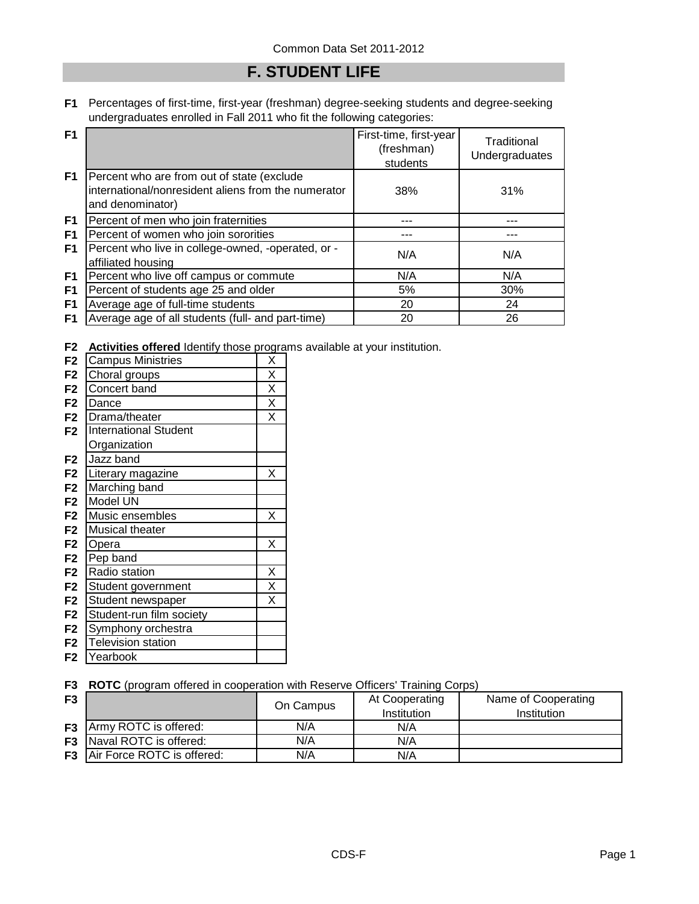## **F. STUDENT LIFE**

**F1** Percentages of first-time, first-year (freshman) degree-seeking students and degree-seeking undergraduates enrolled in Fall 2011 who fit the following categories:

| F <sub>1</sub> |                                                                                                                       | First-time, first-year<br>(freshman)<br>students | Traditional<br>Undergraduates |
|----------------|-----------------------------------------------------------------------------------------------------------------------|--------------------------------------------------|-------------------------------|
| F <sub>1</sub> | Percent who are from out of state (exclude<br>international/nonresident aliens from the numerator<br>and denominator) | 38%                                              | 31%                           |
| F <sub>1</sub> | Percent of men who join fraternities                                                                                  |                                                  |                               |
| F <sub>1</sub> | Percent of women who join sororities                                                                                  |                                                  |                               |
| F <sub>1</sub> | Percent who live in college-owned, -operated, or -<br>affiliated housing                                              | N/A                                              | N/A                           |
| F1             | Percent who live off campus or commute                                                                                | N/A                                              | N/A                           |
| F1             | Percent of students age 25 and older                                                                                  | 5%                                               | 30%                           |
| F <sub>1</sub> | Average age of full-time students                                                                                     | 20                                               | 24                            |
| F1             | Average age of all students (full- and part-time)                                                                     | 20                                               | 26                            |

**F2 Activities offered** Identify those programs available at your institution.

| F <sub>2</sub> | <b>Campus Ministries</b>     | Χ                       |
|----------------|------------------------------|-------------------------|
| F <sub>2</sub> | Choral groups                | $\overline{\mathsf{x}}$ |
| F <sub>2</sub> | Concert band                 | X                       |
| F <sub>2</sub> | Dance                        | $\overline{\mathsf{x}}$ |
| F <sub>2</sub> | Drama/theater                | X                       |
| F <sub>2</sub> | <b>International Student</b> |                         |
|                | Organization                 |                         |
| F <sub>2</sub> | Jazz band                    |                         |
| F <sub>2</sub> | Literary magazine            | Χ                       |
| F <sub>2</sub> | Marching band                |                         |
| F <sub>2</sub> | Model UN                     |                         |
| F <sub>2</sub> | Music ensembles              | Χ                       |
| F <sub>2</sub> | <b>Musical theater</b>       |                         |
| F <sub>2</sub> | Opera                        | Χ                       |
| F <sub>2</sub> | Pep band                     |                         |
| F <sub>2</sub> | Radio station                | Χ                       |
| F <sub>2</sub> | Student government           | X                       |
| F <sub>2</sub> | Student newspaper            | Χ                       |
| F <sub>2</sub> | Student-run film society     |                         |
| F <sub>2</sub> | Symphony orchestra           |                         |
| F <sub>2</sub> | <b>Television station</b>    |                         |
| F <sub>2</sub> | Yearbook                     |                         |

**F3 ROTC** (program offered in cooperation with Reserve Officers' Training Corps)

| F <sub>3</sub> |                                      | On Campus | At Cooperating<br>Institution | Name of Cooperating<br>Institution |
|----------------|--------------------------------------|-----------|-------------------------------|------------------------------------|
|                | <b>F3</b> Army ROTC is offered:      | N/A       | N/A                           |                                    |
|                | <b>F3</b> Naval ROTC is offered:     | N/A       | N/A                           |                                    |
|                | <b>F3</b> Air Force ROTC is offered: | N/A       | N/A                           |                                    |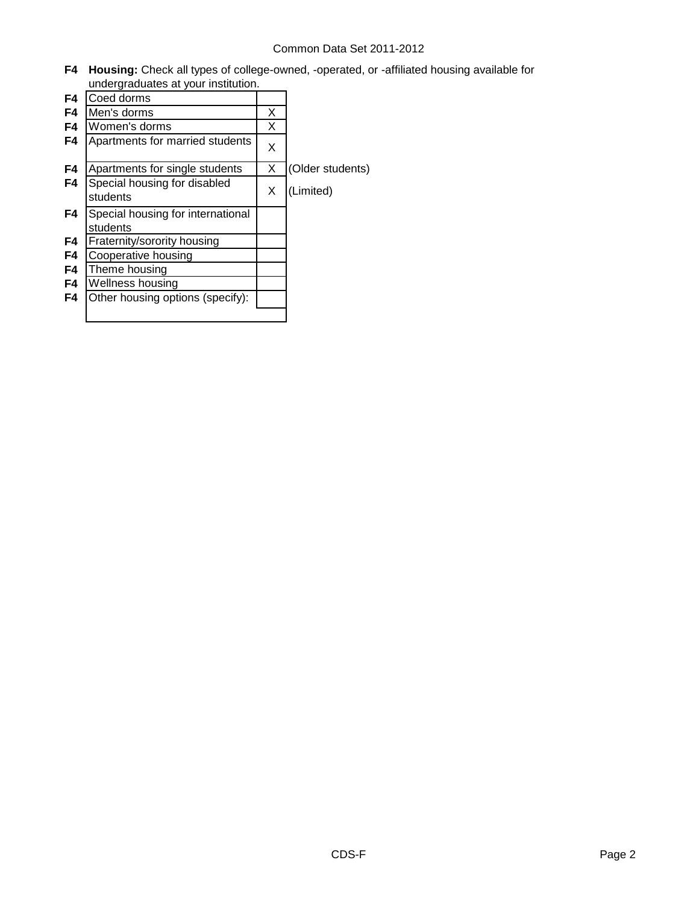**F4 Housing:** Check all types of college-owned, -operated, or -affiliated housing available for undergraduates at your institution.

| F4 | Coed dorms                                    |   |                  |
|----|-----------------------------------------------|---|------------------|
| F4 | Men's dorms                                   | X |                  |
| F4 | Women's dorms                                 | X |                  |
| F4 | Apartments for married students               | X |                  |
| F4 | Apartments for single students                | X | (Older students) |
| F4 | Special housing for disabled<br>students      | X | (Limited)        |
| F4 | Special housing for international<br>students |   |                  |
| F4 | Fraternity/sorority housing                   |   |                  |
| F4 | Cooperative housing                           |   |                  |
| F4 | Theme housing                                 |   |                  |
| F4 | Wellness housing                              |   |                  |
| F4 | Other housing options (specify):              |   |                  |
|    |                                               |   |                  |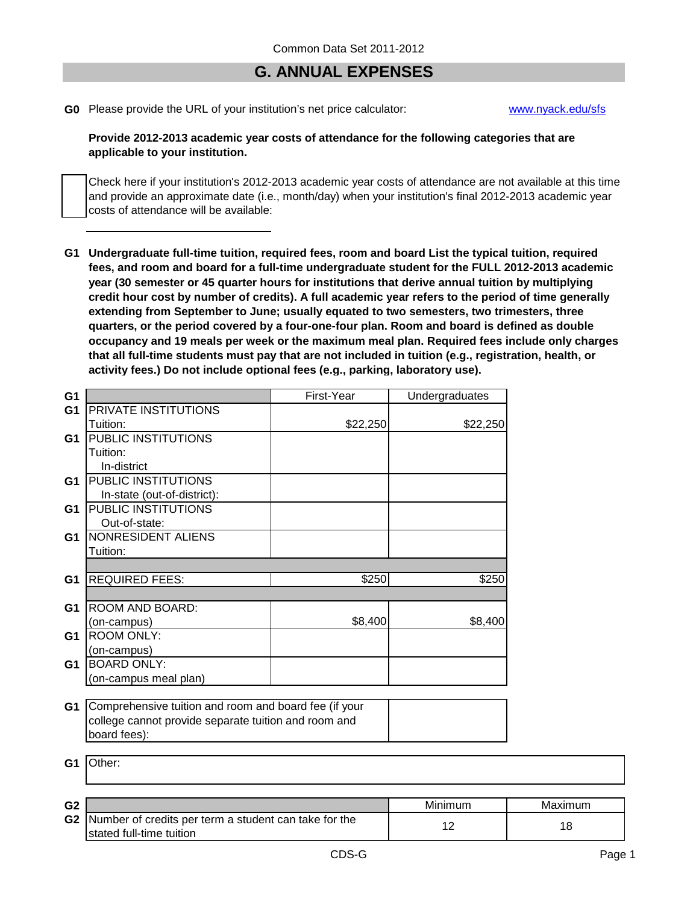### **G. ANNUAL EXPENSES**

**G0** Please provide the URL of your institution's net price calculator: [www.nyack.edu/sfs](http://www.nyack.edu/sfs)

#### **Provide 2012-2013 academic year costs of attendance for the following categories that are applicable to your institution.**

Check here if your institution's 2012-2013 academic year costs of attendance are not available at this time and provide an approximate date (i.e., month/day) when your institution's final 2012-2013 academic year costs of attendance will be available:

**G1 Undergraduate full-time tuition, required fees, room and board List the typical tuition, required fees, and room and board for a full-time undergraduate student for the FULL 2012-2013 academic year (30 semester or 45 quarter hours for institutions that derive annual tuition by multiplying credit hour cost by number of credits). A full academic year refers to the period of time generally extending from September to June; usually equated to two semesters, two trimesters, three quarters, or the period covered by a four-one-four plan. Room and board is defined as double occupancy and 19 meals per week or the maximum meal plan. Required fees include only charges that all full-time students must pay that are not included in tuition (e.g., registration, health, or activity fees.) Do not include optional fees (e.g., parking, laboratory use).**

| G <sub>1</sub> |                                                                          | First-Year | Undergraduates |         |
|----------------|--------------------------------------------------------------------------|------------|----------------|---------|
| G <sub>1</sub> | PRIVATE INSTITUTIONS                                                     |            |                |         |
|                | Tuition:                                                                 | \$22,250   | \$22,250       |         |
| G1             | <b>PUBLIC INSTITUTIONS</b>                                               |            |                |         |
|                | Tuition:                                                                 |            |                |         |
|                | In-district                                                              |            |                |         |
| G1             | <b>PUBLIC INSTITUTIONS</b>                                               |            |                |         |
|                | In-state (out-of-district):                                              |            |                |         |
| G1             | PUBLIC INSTITUTIONS                                                      |            |                |         |
|                | Out-of-state:                                                            |            |                |         |
| G1             | NONRESIDENT ALIENS                                                       |            |                |         |
|                | Tuition:                                                                 |            |                |         |
|                |                                                                          |            |                |         |
| G <sub>1</sub> | <b>REQUIRED FEES:</b>                                                    | \$250      | \$250          |         |
|                |                                                                          |            |                |         |
| G <sub>1</sub> | ROOM AND BOARD:                                                          |            |                |         |
|                | (on-campus)                                                              | \$8,400    | \$8,400        |         |
| G <sub>1</sub> | <b>ROOM ONLY:</b>                                                        |            |                |         |
|                | (on-campus)                                                              |            |                |         |
| G1             | <b>BOARD ONLY:</b>                                                       |            |                |         |
|                | (on-campus meal plan)                                                    |            |                |         |
|                |                                                                          |            |                |         |
| G1             | Comprehensive tuition and room and board fee (if your                    |            |                |         |
|                | college cannot provide separate tuition and room and                     |            |                |         |
|                | board fees):                                                             |            |                |         |
| G <sub>1</sub> | Other:                                                                   |            |                |         |
|                |                                                                          |            |                |         |
| G <sub>2</sub> |                                                                          |            | Minimum        |         |
|                | $\bullet$ a latingle as at assaits nos to see a student can take for the |            |                | Maximum |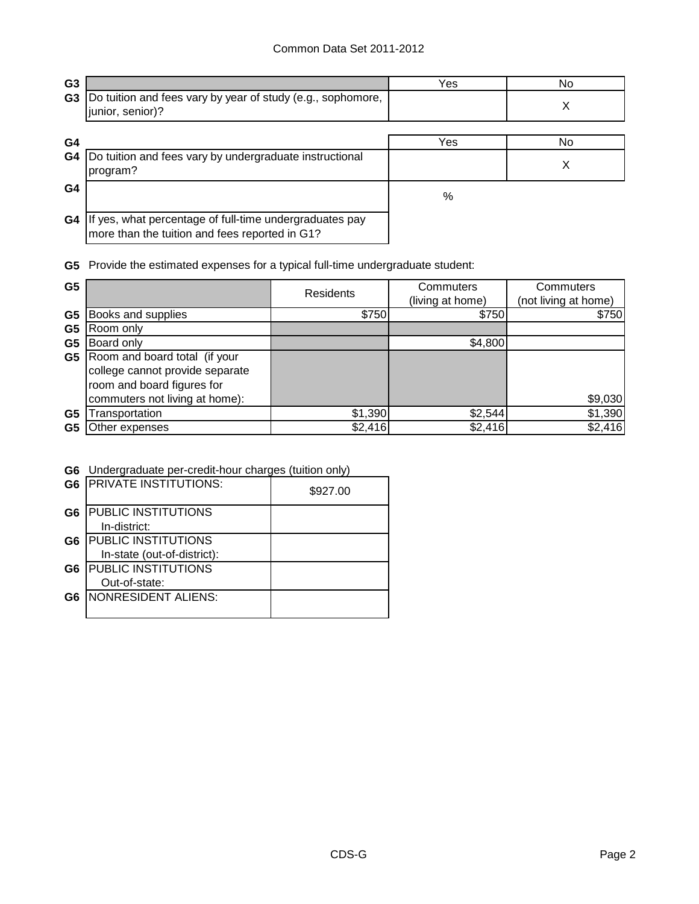| G <sub>3</sub> |                                                                                                           | Yes | No. |
|----------------|-----------------------------------------------------------------------------------------------------------|-----|-----|
| G <sub>3</sub> | Do tuition and fees vary by year of study (e.g., sophomore,<br>junior, senior)?                           |     | X   |
|                |                                                                                                           |     |     |
| G4             |                                                                                                           | Yes | No. |
| G4             | Do tuition and fees vary by undergraduate instructional<br>program?                                       |     | х   |
| G4             |                                                                                                           | %   |     |
| G4             | If yes, what percentage of full-time undergraduates pay<br>more than the tuition and fees reported in G1? |     |     |

**G5** Provide the estimated expenses for a typical full-time undergraduate student:

| G <sub>5</sub>                   |                                                                                                                                  | <b>Residents</b> | Commuters<br>(living at home) | Commuters<br>(not living at home) |
|----------------------------------|----------------------------------------------------------------------------------------------------------------------------------|------------------|-------------------------------|-----------------------------------|
| G <sub>5</sub>                   | <b>Books and supplies</b>                                                                                                        | \$750            | \$750                         | \$750                             |
| G <sub>5</sub><br>G <sub>5</sub> | Room only<br>Board only                                                                                                          |                  | \$4,800                       |                                   |
| G5                               | Room and board total (if your<br>college cannot provide separate<br>room and board figures for<br>commuters not living at home): |                  |                               | \$9,030                           |
| G5                               | ransportation                                                                                                                    | \$1,390          | \$2,544                       | \$1,390                           |
| G5                               | Other expenses                                                                                                                   | \$2,416          | \$2,416                       | \$2,416                           |

#### **G6** Undergraduate per-credit-hour charges (tuition only)

| G <sub>6</sub> | <b>PRIVATE INSTITUTIONS:</b> | \$927.00 |
|----------------|------------------------------|----------|
| G <sub>6</sub> | <b>PUBLIC INSTITUTIONS</b>   |          |
|                | In-district:                 |          |
| G <sub>6</sub> | <b>PUBLIC INSTITUTIONS</b>   |          |
|                | In-state (out-of-district):  |          |
| G6             | <b>PUBLIC INSTITUTIONS</b>   |          |
|                | Out-of-state:                |          |
| G6             | <b>NONRESIDENT ALIENS:</b>   |          |
|                |                              |          |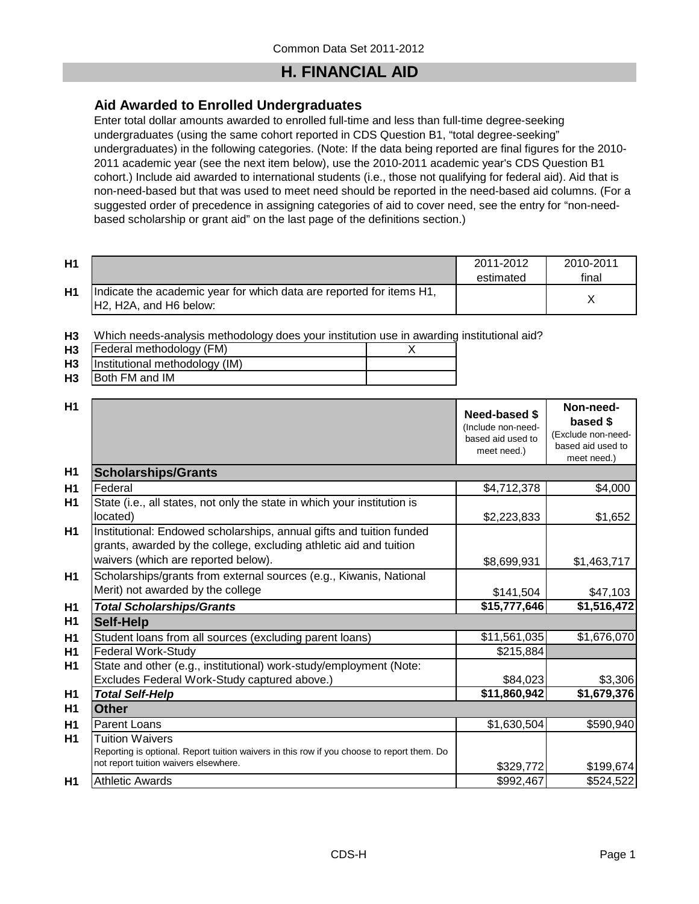## **H. FINANCIAL AID**

### **Aid Awarded to Enrolled Undergraduates**

Enter total dollar amounts awarded to enrolled full-time and less than full-time degree-seeking undergraduates (using the same cohort reported in CDS Question B1, "total degree-seeking" undergraduates) in the following categories. (Note: If the data being reported are final figures for the 2010- 2011 academic year (see the next item below), use the 2010-2011 academic year's CDS Question B1 cohort.) Include aid awarded to international students (i.e., those not qualifying for federal aid). Aid that is non-need-based but that was used to meet need should be reported in the need-based aid columns. (For a suggested order of precedence in assigning categories of aid to cover need, see the entry for "non-needbased scholarship or grant aid" on the last page of the definitions section.)

| H1        |                                                                                                                                      | 2011-2012<br>estimated | 2010-2011<br>final |
|-----------|--------------------------------------------------------------------------------------------------------------------------------------|------------------------|--------------------|
| <b>H1</b> | Indicate the academic year for which data are reported for items H1,<br>H <sub>2</sub> , H <sub>2</sub> A, and H <sub>6</sub> below: |                        |                    |

**H3** Which needs-analysis methodology does your institution use in awarding institutional aid?

| H <sub>3</sub> | Federal methodology (FM)       |  |
|----------------|--------------------------------|--|
| H <sub>3</sub> | Institutional methodology (IM) |  |

**H3** Both FM and IM

| H1             |                                                                                                                                                                                   | <b>Need-based \$</b><br>(Include non-need-<br>based aid used to<br>meet need.) | Non-need-<br>based \$<br>(Exclude non-need-<br>based aid used to<br>meet need.) |
|----------------|-----------------------------------------------------------------------------------------------------------------------------------------------------------------------------------|--------------------------------------------------------------------------------|---------------------------------------------------------------------------------|
| H <sub>1</sub> | <b>Scholarships/Grants</b>                                                                                                                                                        |                                                                                |                                                                                 |
| H1             | Federal                                                                                                                                                                           | \$4,712,378                                                                    | \$4,000                                                                         |
| H1             | State (i.e., all states, not only the state in which your institution is<br>located)                                                                                              | \$2,223,833                                                                    | \$1,652                                                                         |
| H1             | Institutional: Endowed scholarships, annual gifts and tuition funded<br>grants, awarded by the college, excluding athletic aid and tuition<br>waivers (which are reported below). | \$8,699,931                                                                    | \$1,463,717                                                                     |
| H1             | Scholarships/grants from external sources (e.g., Kiwanis, National<br>Merit) not awarded by the college                                                                           | \$141,504                                                                      | \$47,103                                                                        |
| H1             | <b>Total Scholarships/Grants</b>                                                                                                                                                  | \$15,777,646                                                                   | \$1,516,472                                                                     |
| H1             | <b>Self-Help</b>                                                                                                                                                                  |                                                                                |                                                                                 |
| H1             | Student loans from all sources (excluding parent loans)                                                                                                                           | \$11,561,035                                                                   | \$1,676,070                                                                     |
| H1             | <b>Federal Work-Study</b>                                                                                                                                                         | \$215,884                                                                      |                                                                                 |
| H1             | State and other (e.g., institutional) work-study/employment (Note:                                                                                                                |                                                                                |                                                                                 |
|                | Excludes Federal Work-Study captured above.)                                                                                                                                      | \$84,023                                                                       | \$3,306                                                                         |
| H1             | <b>Total Self-Help</b>                                                                                                                                                            | \$11,860,942                                                                   | \$1,679,376                                                                     |
| H <sub>1</sub> | <b>Other</b>                                                                                                                                                                      |                                                                                |                                                                                 |
| H1             | <b>Parent Loans</b>                                                                                                                                                               | \$1,630,504                                                                    | \$590,940                                                                       |
| H1             | Tuition Waivers<br>Reporting is optional. Report tuition waivers in this row if you choose to report them. Do<br>not report tuition waivers elsewhere.                            | \$329,772                                                                      | \$199,674                                                                       |
| H1             | <b>Athletic Awards</b>                                                                                                                                                            | \$992,467                                                                      | \$524,522                                                                       |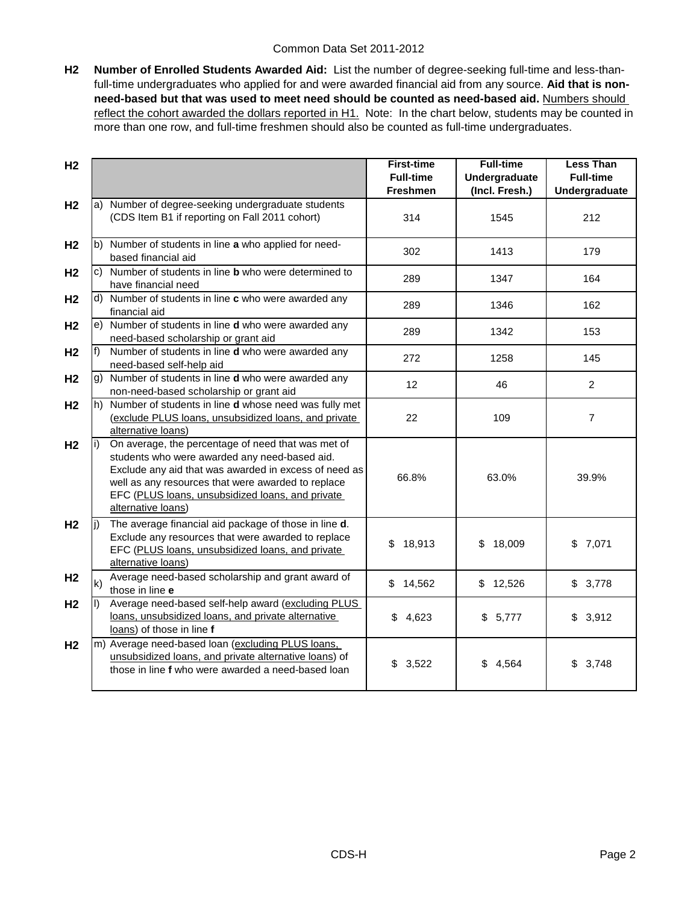**H2 Number of Enrolled Students Awarded Aid:** List the number of degree-seeking full-time and less-thanfull-time undergraduates who applied for and were awarded financial aid from any source. **Aid that is nonneed-based but that was used to meet need should be counted as need-based aid.** Numbers should reflect the cohort awarded the dollars reported in H1. Note: In the chart below, students may be counted in more than one row, and full-time freshmen should also be counted as full-time undergraduates.

| H <sub>2</sub> |              |                                                                                                                                                                                                                                                                                              | <b>First-time</b> | <b>Full-time</b>     | <b>Less Than</b> |
|----------------|--------------|----------------------------------------------------------------------------------------------------------------------------------------------------------------------------------------------------------------------------------------------------------------------------------------------|-------------------|----------------------|------------------|
|                |              |                                                                                                                                                                                                                                                                                              | <b>Full-time</b>  | <b>Undergraduate</b> | <b>Full-time</b> |
| H <sub>2</sub> |              | a) Number of degree-seeking undergraduate students                                                                                                                                                                                                                                           | <b>Freshmen</b>   | (Incl. Fresh.)       | Undergraduate    |
|                |              | (CDS Item B1 if reporting on Fall 2011 cohort)                                                                                                                                                                                                                                               | 314               | 1545                 | 212              |
|                |              |                                                                                                                                                                                                                                                                                              |                   |                      |                  |
| H <sub>2</sub> |              | b) Number of students in line a who applied for need-<br>based financial aid                                                                                                                                                                                                                 | 302               | 1413                 | 179              |
| H <sub>2</sub> |              | c) Number of students in line <b>b</b> who were determined to                                                                                                                                                                                                                                | 289               | 1347                 | 164              |
|                |              | have financial need                                                                                                                                                                                                                                                                          |                   |                      |                  |
| H <sub>2</sub> |              | d) Number of students in line c who were awarded any<br>financial aid                                                                                                                                                                                                                        | 289               | 1346                 | 162              |
| H <sub>2</sub> |              | e) Number of students in line d who were awarded any<br>need-based scholarship or grant aid                                                                                                                                                                                                  | 289               | 1342                 | 153              |
| H <sub>2</sub> | $f$ )        | Number of students in line d who were awarded any<br>need-based self-help aid                                                                                                                                                                                                                | 272               | 1258                 | 145              |
| H <sub>2</sub> |              | g) Number of students in line d who were awarded any<br>non-need-based scholarship or grant aid                                                                                                                                                                                              | 12                | 46                   | $\overline{2}$   |
| H <sub>2</sub> |              | h) Number of students in line <b>d</b> whose need was fully met<br>(exclude PLUS loans, unsubsidized loans, and private<br>alternative loans)                                                                                                                                                | 22                | 109                  | $\overline{7}$   |
| H <sub>2</sub> |              | On average, the percentage of need that was met of<br>students who were awarded any need-based aid.<br>Exclude any aid that was awarded in excess of need as<br>well as any resources that were awarded to replace<br>EFC (PLUS loans, unsubsidized loans, and private<br>alternative loans) | 66.8%             | 63.0%                | 39.9%            |
| H <sub>2</sub> | li)          | The average financial aid package of those in line d.<br>Exclude any resources that were awarded to replace<br>EFC (PLUS loans, unsubsidized loans, and private<br>alternative loans)                                                                                                        | 18,913<br>\$      | 18,009<br>\$         | \$7,071          |
| H <sub>2</sub> | $\mathsf{k}$ | Average need-based scholarship and grant award of<br>those in line e                                                                                                                                                                                                                         | \$14,562          | \$12,526             | \$3,778          |
| H <sub>2</sub> |              | Average need-based self-help award (excluding PLUS<br>loans, unsubsidized loans, and private alternative<br>loans) of those in line f                                                                                                                                                        | 4,623<br>\$       | \$5,777              | \$3,912          |
| H <sub>2</sub> |              | m) Average need-based loan (excluding PLUS loans,<br>unsubsidized loans, and private alternative loans) of<br>those in line f who were awarded a need-based loan                                                                                                                             | \$3,522           | \$4,564              | \$3,748          |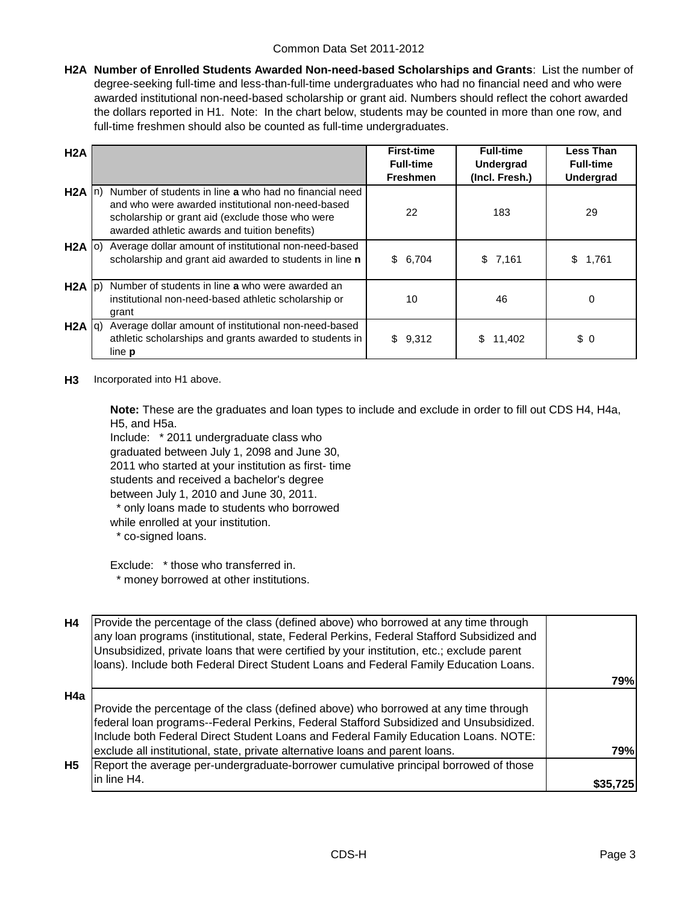**H2A Number of Enrolled Students Awarded Non-need-based Scholarships and Grants**: List the number of degree-seeking full-time and less-than-full-time undergraduates who had no financial need and who were awarded institutional non-need-based scholarship or grant aid. Numbers should reflect the cohort awarded the dollars reported in H1. Note: In the chart below, students may be counted in more than one row, and full-time freshmen should also be counted as full-time undergraduates.

| H2A               |                                                                                                                                                                                                                  | <b>First-time</b><br><b>Full-time</b><br><b>Freshmen</b> | <b>Full-time</b><br><b>Undergrad</b><br>(Incl. Fresh.) | Less Than<br><b>Full-time</b><br>Undergrad |
|-------------------|------------------------------------------------------------------------------------------------------------------------------------------------------------------------------------------------------------------|----------------------------------------------------------|--------------------------------------------------------|--------------------------------------------|
| $H2A \ln$         | Number of students in line a who had no financial need<br>and who were awarded institutional non-need-based<br>scholarship or grant aid (exclude those who were<br>awarded athletic awards and tuition benefits) | 22                                                       | 183                                                    | 29                                         |
| $H2A$ (o)         | Average dollar amount of institutional non-need-based<br>scholarship and grant aid awarded to students in line n                                                                                                 | \$6,704                                                  | \$7,161                                                | 1,761<br>S.                                |
| $H2A$ $ p\rangle$ | Number of students in line a who were awarded an<br>institutional non-need-based athletic scholarship or<br>grant                                                                                                | 10                                                       | 46                                                     | $\Omega$                                   |
| $H2A  q\rangle$   | Average dollar amount of institutional non-need-based<br>athletic scholarships and grants awarded to students in<br>line <b>p</b>                                                                                | \$9,312                                                  | 11.402<br>\$                                           | \$0                                        |

#### **H3** Incorporated into H1 above.

**Note:** These are the graduates and loan types to include and exclude in order to fill out CDS H4, H4a, H5, and H5a.

Include: \* 2011 undergraduate class who graduated between July 1, 2098 and June 30, 2011 who started at your institution as first- time students and received a bachelor's degree between July 1, 2010 and June 30, 2011. \* only loans made to students who borrowed

while enrolled at your institution.

\* co-signed loans.

Exclude: \* those who transferred in. \* money borrowed at other institutions.

| H4        | Provide the percentage of the class (defined above) who borrowed at any time through<br>any loan programs (institutional, state, Federal Perkins, Federal Stafford Subsidized and<br>Unsubsidized, private loans that were certified by your institution, etc.; exclude parent<br>loans). Include both Federal Direct Student Loans and Federal Family Education Loans. |          |
|-----------|-------------------------------------------------------------------------------------------------------------------------------------------------------------------------------------------------------------------------------------------------------------------------------------------------------------------------------------------------------------------------|----------|
|           |                                                                                                                                                                                                                                                                                                                                                                         | 79%l     |
| H4a       |                                                                                                                                                                                                                                                                                                                                                                         |          |
|           | Provide the percentage of the class (defined above) who borrowed at any time through                                                                                                                                                                                                                                                                                    |          |
|           | federal loan programs--Federal Perkins, Federal Stafford Subsidized and Unsubsidized.                                                                                                                                                                                                                                                                                   |          |
|           | Include both Federal Direct Student Loans and Federal Family Education Loans. NOTE:                                                                                                                                                                                                                                                                                     |          |
|           | exclude all institutional, state, private alternative loans and parent loans.                                                                                                                                                                                                                                                                                           | 79%      |
| <b>H5</b> | Report the average per-undergraduate-borrower cumulative principal borrowed of those                                                                                                                                                                                                                                                                                    |          |
|           | in line H4.                                                                                                                                                                                                                                                                                                                                                             | \$35.725 |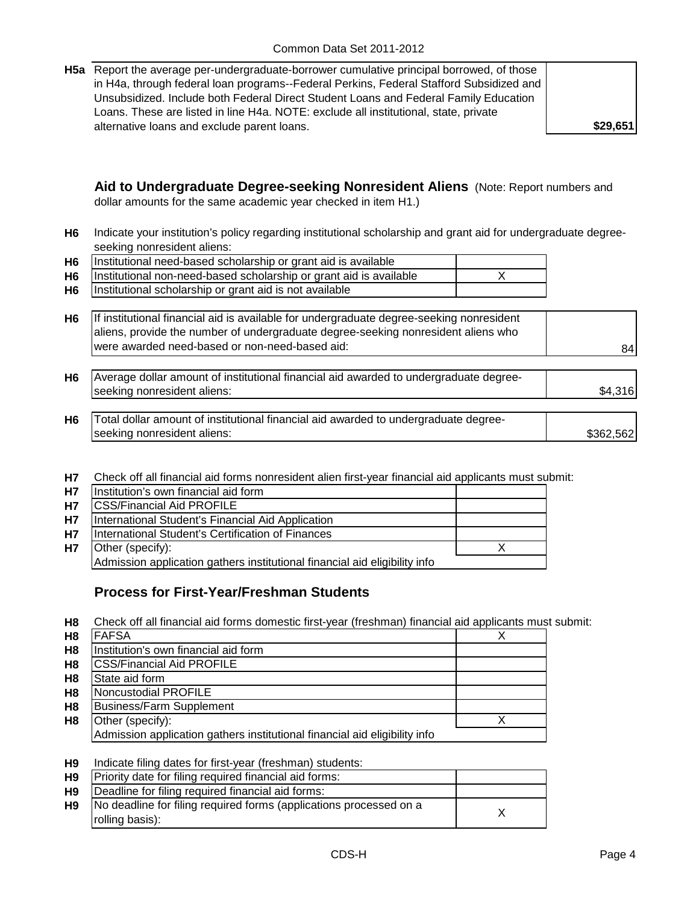| <b>H5a</b> Report the average per-undergraduate-borrower cumulative principal borrowed, of those |          |
|--------------------------------------------------------------------------------------------------|----------|
| in H4a, through federal loan programs--Federal Perkins, Federal Stafford Subsidized and          |          |
| Unsubsidized. Include both Federal Direct Student Loans and Federal Family Education             |          |
| Loans. These are listed in line H4a. NOTE: exclude all institutional, state, private             |          |
| alternative loans and exclude parent loans.                                                      | \$29,651 |

**Aid to Undergraduate Degree-seeking Nonresident Aliens** (Note: Report numbers and dollar amounts for the same academic year checked in item H1.)

**H6** Indicate your institution's policy regarding institutional scholarship and grant aid for undergraduate degreeseeking nonresident aliens:

| H6   Institutional need-based scholarship or grant aid is available     |  |
|-------------------------------------------------------------------------|--|
| H6   Institutional non-need-based scholarship or grant aid is available |  |
| H6   Institutional scholarship or grant aid is not available            |  |

| H6   If institutional financial aid is available for undergraduate degree-seeking nonresident<br>aliens, provide the number of undergraduate degree-seeking nonresident aliens who |    |
|------------------------------------------------------------------------------------------------------------------------------------------------------------------------------------|----|
| were awarded need-based or non-need-based aid:                                                                                                                                     | 84 |

| <b>H6</b> | Average dollar amount of institutional financial aid awarded to undergraduate degree-                |  |
|-----------|------------------------------------------------------------------------------------------------------|--|
|           | seeking nonresident aliens:                                                                          |  |
|           |                                                                                                      |  |
|           | l∓anal dalla costre di affranti nel fiscoli fiscolata la fiscola di altre costrela costrela di costr |  |

- **H6** \$362,562 Total dollar amount of institutional financial aid awarded to undergraduate degreeseeking nonresident aliens:
- **H7** Check off all financial aid forms nonresident alien first-year financial aid applicants must submit:

| <b>H7</b> | Institution's own financial aid form                                       |  |
|-----------|----------------------------------------------------------------------------|--|
| <b>H7</b> | <b>CSS/Financial Aid PROFILE</b>                                           |  |
| <b>H7</b> | International Student's Financial Aid Application                          |  |
| <b>H7</b> | International Student's Certification of Finances                          |  |
| <b>H7</b> | Other (specify):                                                           |  |
|           | Admission application gathers institutional financial aid eligibility info |  |

### **Process for First-Year/Freshman Students**

**H8** Check off all financial aid forms domestic first-year (freshman) financial aid applicants must submit:

| H <sub>8</sub> | <b>FAFSA</b>                                                               |  |
|----------------|----------------------------------------------------------------------------|--|
| H <sub>8</sub> | Institution's own financial aid form                                       |  |
| H <sub>8</sub> | <b>CSS/Financial Aid PROFILE</b>                                           |  |
| H <sub>8</sub> | State aid form                                                             |  |
| H <sub>8</sub> | Noncustodial PROFILE                                                       |  |
| H <sub>8</sub> | <b>Business/Farm Supplement</b>                                            |  |
| H <sub>8</sub> | Other (specify):                                                           |  |
|                | Admission application gathers institutional financial aid eligibility info |  |

#### **H9** Indicate filing dates for first-year (freshman) students:

| H9 | Priority date for filing required financial aid forms:                                |  |
|----|---------------------------------------------------------------------------------------|--|
| H9 | Deadline for filing required financial aid forms:                                     |  |
| H9 | No deadline for filing required forms (applications processed on a<br>rolling basis): |  |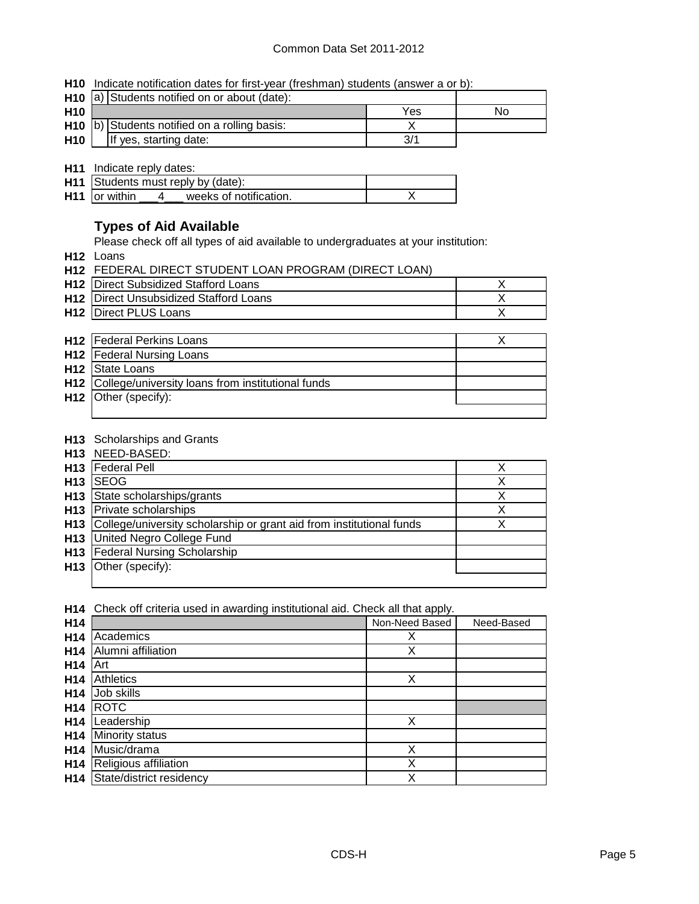**H10** Indicate notification dates for first-year (freshman) students (answer a or b):

|                 | H <sub>10</sub> a) Students notified on or about (date): |     |    |
|-----------------|----------------------------------------------------------|-----|----|
| H <sub>10</sub> |                                                          | Yes | No |
|                 | H <sub>10</sub> b) Students notified on a rolling basis: |     |    |
| H <sub>10</sub> | If yes, starting date:                                   |     |    |

**H11** Indicate reply dates:

| H11 Students must reply by (date):        |  |
|-------------------------------------------|--|
| $H11$ or within<br>weeks of notification. |  |

### **Types of Aid Available**

Please check off all types of aid available to undergraduates at your institution:

**H12** Loans

| <b>H12 FEDERAL DIRECT STUDENT LOAN PROGRAM (DIRECT LOAN)</b> |  |
|--------------------------------------------------------------|--|
| <b>H12</b> Direct Subsidized Stafford Loans                  |  |
| <b>H12</b> Direct Unsubsidized Stafford Loans                |  |
| <b>H12</b> Direct PLUS Loans                                 |  |

| <b>H12</b>   Federal Perkins Loans                           |  |
|--------------------------------------------------------------|--|
| <b>H12</b>   Federal Nursing Loans                           |  |
| <b>H12</b> State Loans                                       |  |
| <b>H12</b> College/university loans from institutional funds |  |
| H <sub>12</sub> Other (specify):                             |  |
|                                                              |  |

#### **H13** Scholarships and Grants

|                 | H <sub>13</sub> NEED-BASED:                                          |   |
|-----------------|----------------------------------------------------------------------|---|
| H <sub>13</sub> | <b>Federal Pell</b>                                                  |   |
| H <sub>13</sub> | <b>SEOG</b>                                                          | х |
| H <sub>13</sub> | State scholarships/grants                                            | Χ |
| H <sub>13</sub> | Private scholarships                                                 | Х |
| H <sub>13</sub> | College/university scholarship or grant aid from institutional funds |   |
| H <sub>13</sub> | United Negro College Fund                                            |   |
| H <sub>13</sub> | <b>Federal Nursing Scholarship</b>                                   |   |
| H <sub>13</sub> | Other (specify):                                                     |   |
|                 |                                                                      |   |

**H14** Check off criteria used in awarding institutional aid. Check all that apply.

| H14             |                          | Non-Need Based | Need-Based |
|-----------------|--------------------------|----------------|------------|
| H <sub>14</sub> | Academics                | Х              |            |
| H <sub>14</sub> | Alumni affiliation       | Χ              |            |
| H <sub>14</sub> | Art                      |                |            |
| H <sub>14</sub> | Athletics                | Χ              |            |
| H <sub>14</sub> | Job skills               |                |            |
| H <sub>14</sub> | <b>ROTC</b>              |                |            |
| H <sub>14</sub> | Leadership               | Χ              |            |
| H <sub>14</sub> | Minority status          |                |            |
| H <sub>14</sub> | Music/drama              | Χ              |            |
| H <sub>14</sub> | Religious affiliation    | Χ              |            |
| H <sub>14</sub> | State/district residency | Χ              |            |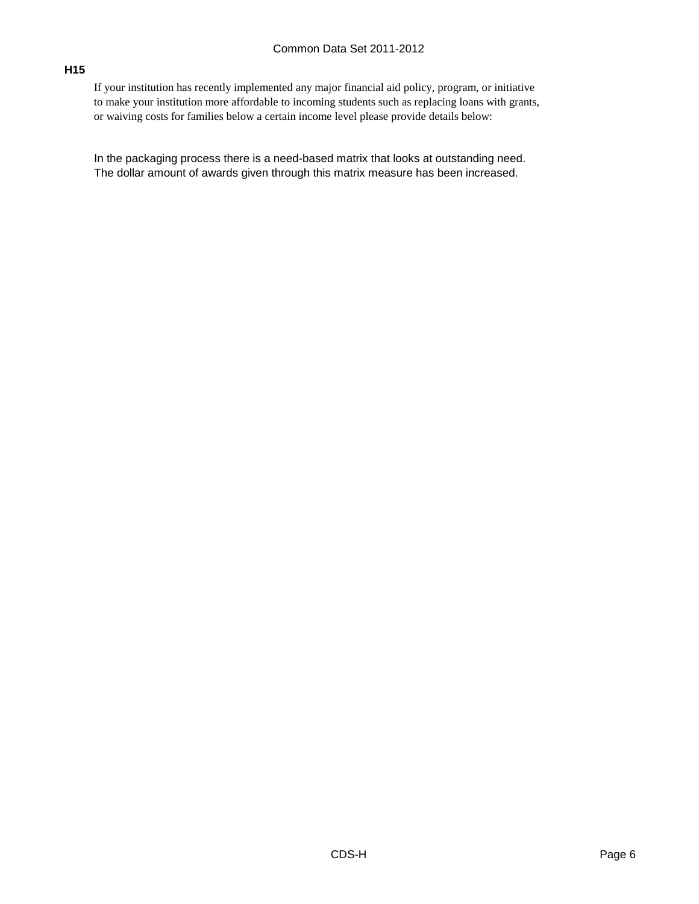#### **H15**

If your institution has recently implemented any major financial aid policy, program, or initiative to make your institution more affordable to incoming students such as replacing loans with grants, or waiving costs for families below a certain income level please provide details below:

In the packaging process there is a need-based matrix that looks at outstanding need. The dollar amount of awards given through this matrix measure has been increased.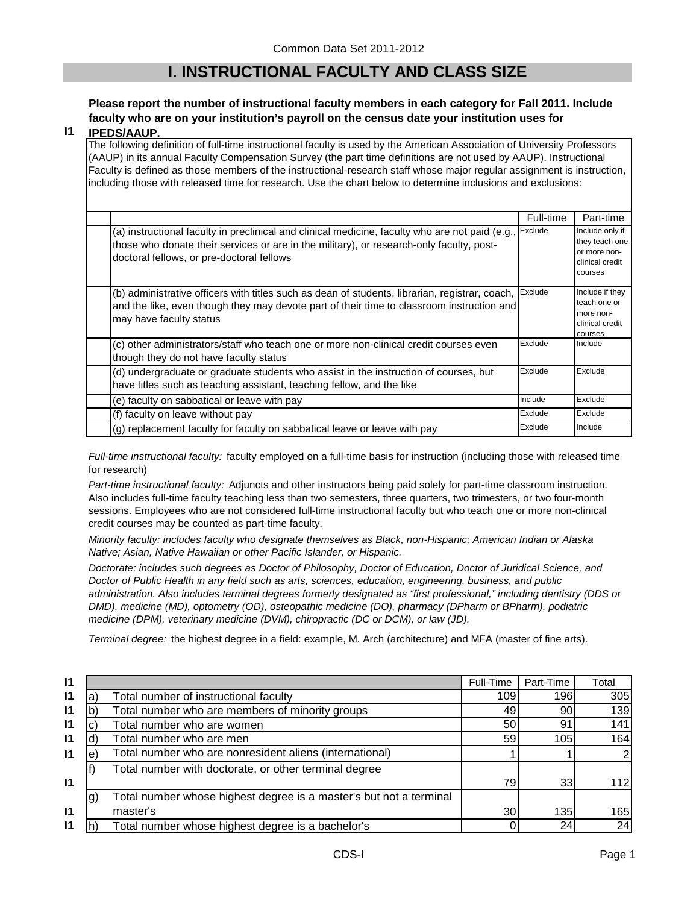## **I. INSTRUCTIONAL FACULTY AND CLASS SIZE**

### **Please report the number of instructional faculty members in each category for Fall 2011. Include faculty who are on your institution's payroll on the census date your institution uses for**

#### **I1 IPEDS/AAUP.**

The following definition of full-time instructional faculty is used by the American Association of University Professors (AAUP) in its annual Faculty Compensation Survey (the part time definitions are not used by AAUP). Instructional Faculty is defined as those members of the instructional-research staff whose major regular assignment is instruction, including those with released time for research. Use the chart below to determine inclusions and exclusions:

|                                                                                                                                                                                                                                          | Full-time | Part-time                                                                       |
|------------------------------------------------------------------------------------------------------------------------------------------------------------------------------------------------------------------------------------------|-----------|---------------------------------------------------------------------------------|
| (a) instructional faculty in preclinical and clinical medicine, faculty who are not paid (e.g.,<br>those who donate their services or are in the military), or research-only faculty, post-<br>doctoral fellows, or pre-doctoral fellows | Exclude   | Include only if<br>they teach one<br>or more non-<br>clinical credit<br>courses |
| (b) administrative officers with titles such as dean of students, librarian, registrar, coach,<br>and the like, even though they may devote part of their time to classroom instruction and<br>may have faculty status                   | Exclude   | Include if they<br>teach one or<br>more non-<br>clinical credit<br>courses      |
| (c) other administrators/staff who teach one or more non-clinical credit courses even<br>though they do not have faculty status                                                                                                          | Exclude   | Include                                                                         |
| (d) undergraduate or graduate students who assist in the instruction of courses, but<br>have titles such as teaching assistant, teaching fellow, and the like                                                                            | Exclude   | Exclude                                                                         |
| (e) faculty on sabbatical or leave with pay                                                                                                                                                                                              | Include   | Exclude                                                                         |
| (f) faculty on leave without pay                                                                                                                                                                                                         | Exclude   | Exclude                                                                         |
| (g) replacement faculty for faculty on sabbatical leave or leave with pay                                                                                                                                                                | Exclude   | Include                                                                         |

*Full-time instructional faculty:* faculty employed on a full-time basis for instruction (including those with released time for research)

*Part-time instructional faculty:* Adjuncts and other instructors being paid solely for part-time classroom instruction. Also includes full-time faculty teaching less than two semesters, three quarters, two trimesters, or two four-month sessions. Employees who are not considered full-time instructional faculty but who teach one or more non-clinical credit courses may be counted as part-time faculty.

*Minority faculty: includes faculty who designate themselves as Black, non-Hispanic; American Indian or Alaska Native; Asian, Native Hawaiian or other Pacific Islander, or Hispanic.* 

*Doctorate: includes such degrees as Doctor of Philosophy, Doctor of Education, Doctor of Juridical Science, and Doctor of Public Health in any field such as arts, sciences, education, engineering, business, and public administration. Also includes terminal degrees formerly designated as "first professional," including dentistry (DDS or DMD), medicine (MD), optometry (OD), osteopathic medicine (DO), pharmacy (DPharm or BPharm), podiatric medicine (DPM), veterinary medicine (DVM), chiropractic (DC or DCM), or law (JD).*

*Terminal degree:* the highest degree in a field: example, M. Arch (architecture) and MFA (master of fine arts).

| $\mathsf{I}$ |    |                                                                    | Full-Time | Part-Time | Total |
|--------------|----|--------------------------------------------------------------------|-----------|-----------|-------|
| 11           | a  | Total number of instructional faculty                              | 109       | 196       | 305   |
| 11           |    | Total number who are members of minority groups                    | 49        | 90        | 139   |
| 11           |    | Total number who are women                                         | 50        | 91        | 141   |
| 11           |    | Total number who are men                                           | 59        | 105       | 164   |
| $\mathsf{I}$ | е  | Total number who are nonresident aliens (international)            |           |           |       |
|              |    | Total number with doctorate, or other terminal degree              |           |           |       |
| $\mathsf{I}$ |    |                                                                    | 79        | 33        | 112I  |
|              | g) | Total number whose highest degree is a master's but not a terminal |           |           |       |
| $\mathsf{I}$ |    | master's                                                           | 30        | 135       | 165   |
| $\mathsf{I}$ |    | Total number whose highest degree is a bachelor's                  |           | 24        | 24    |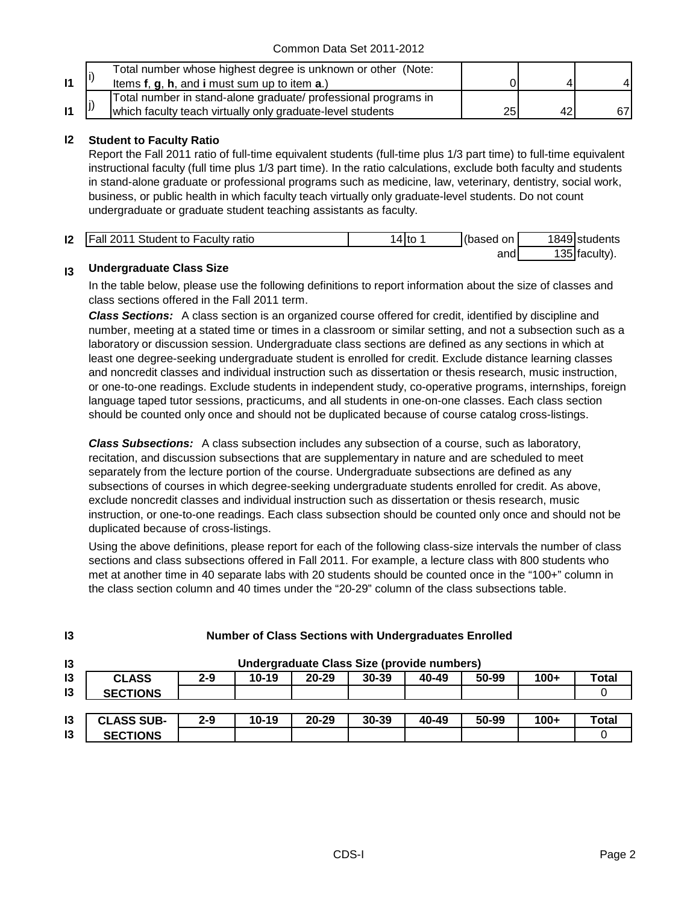|              | Total number whose highest degree is unknown or other (Note:   |    |  |
|--------------|----------------------------------------------------------------|----|--|
| $\mathsf{I}$ | Items f, g, h, and i must sum up to item a.)                   |    |  |
|              | Total number in stand-alone graduate/ professional programs in |    |  |
| $\mathsf{I}$ | which faculty teach virtually only graduate-level students     | 25 |  |

### **I2 Student to Faculty Ratio**

Report the Fall 2011 ratio of full-time equivalent students (full-time plus 1/3 part time) to full-time equivalent instructional faculty (full time plus 1/3 part time). In the ratio calculations, exclude both faculty and students in stand-alone graduate or professional programs such as medicine, law, veterinary, dentistry, social work, business, or public health in which faculty teach virtually only graduate-level students. Do not count undergraduate or graduate student teaching assistants as faculty.

| $\mathsf{I2}$ | <b>Fall 2011 Student to Faculty ratio</b> | '4Ito | (based on | 1849 students |
|---------------|-------------------------------------------|-------|-----------|---------------|
|               |                                           |       | and       | 135 faculty). |

#### **I3 Undergraduate Class Size**

In the table below, please use the following definitions to report information about the size of classes and class sections offered in the Fall 2011 term.

*Class Sections:* A class section is an organized course offered for credit, identified by discipline and number, meeting at a stated time or times in a classroom or similar setting, and not a subsection such as a laboratory or discussion session. Undergraduate class sections are defined as any sections in which at least one degree-seeking undergraduate student is enrolled for credit. Exclude distance learning classes and noncredit classes and individual instruction such as dissertation or thesis research, music instruction, or one-to-one readings. Exclude students in independent study, co-operative programs, internships, foreign language taped tutor sessions, practicums, and all students in one-on-one classes. Each class section should be counted only once and should not be duplicated because of course catalog cross-listings.

*Class Subsections:* A class subsection includes any subsection of a course, such as laboratory, recitation, and discussion subsections that are supplementary in nature and are scheduled to meet separately from the lecture portion of the course. Undergraduate subsections are defined as any subsections of courses in which degree-seeking undergraduate students enrolled for credit. As above, exclude noncredit classes and individual instruction such as dissertation or thesis research, music instruction, or one-to-one readings. Each class subsection should be counted only once and should not be duplicated because of cross-listings.

Using the above definitions, please report for each of the following class-size intervals the number of class sections and class subsections offered in Fall 2011. For example, a lecture class with 800 students who met at another time in 40 separate labs with 20 students should be counted once in the "100+" column in the class section column and 40 times under the "20-29" column of the class subsections table.

| 13             | <b>Number of Class Sections with Undergraduates Enrolled</b> |         |           |           |                                            |       |       |        |       |
|----------------|--------------------------------------------------------------|---------|-----------|-----------|--------------------------------------------|-------|-------|--------|-------|
| $\mathsf{I}3$  |                                                              |         |           |           | Undergraduate Class Size (provide numbers) |       |       |        |       |
| $\overline{3}$ | <b>CLASS</b>                                                 | $2 - 9$ | 10-19     | $20 - 29$ | $30 - 39$                                  | 40-49 | 50-99 | $100+$ | Total |
| $\overline{3}$ | <b>SECTIONS</b>                                              |         |           |           |                                            |       |       |        |       |
|                |                                                              |         |           |           |                                            |       |       |        |       |
| 13             | <b>CLASS SUB-</b>                                            | $2 - 9$ | $10 - 19$ | $20 - 29$ | 30-39                                      | 40-49 | 50-99 | $100+$ | Total |
| 13             | <b>SECTIONS</b>                                              |         |           |           |                                            |       |       |        |       |